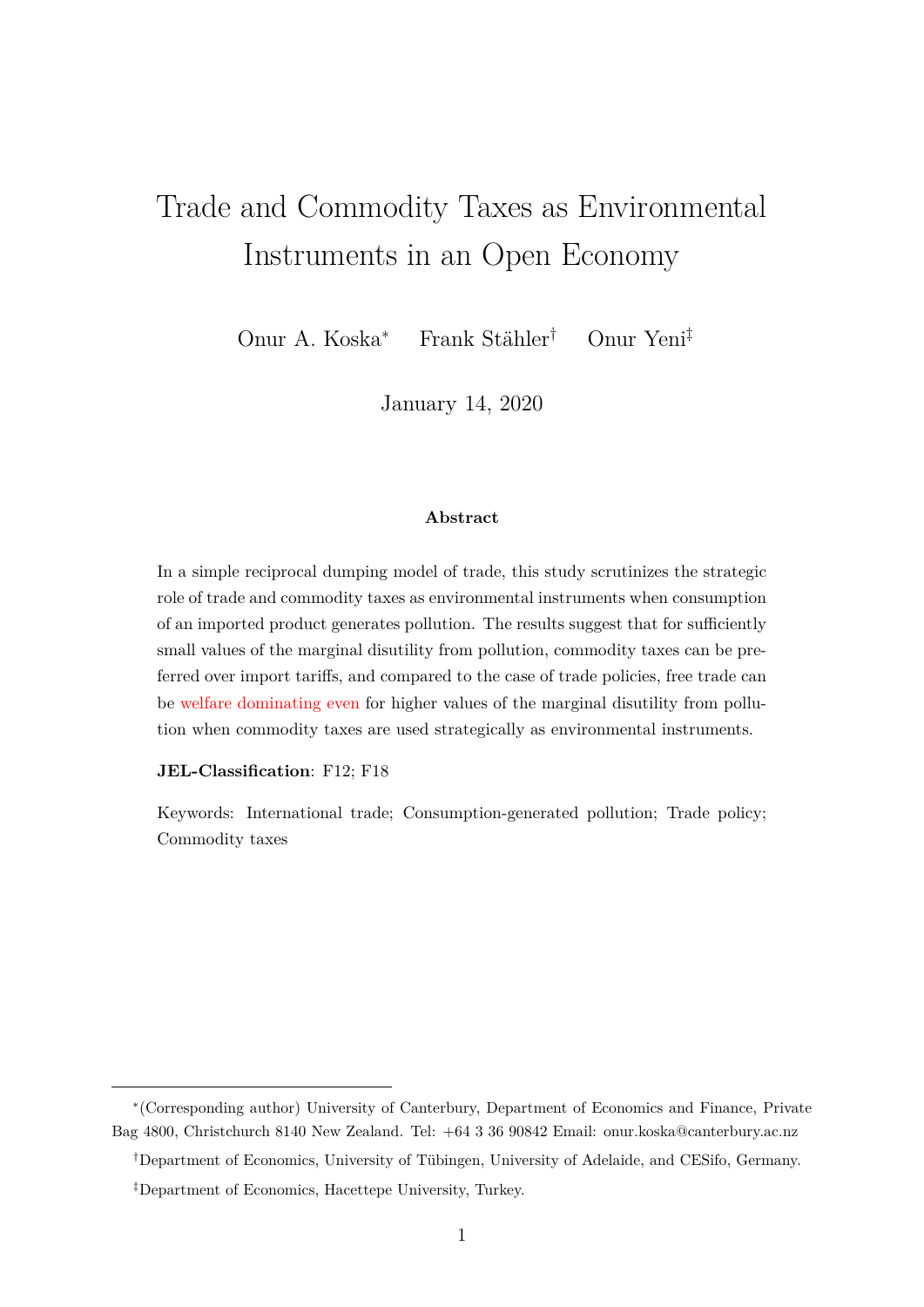# Trade and Commodity Taxes as Environmental Instruments in an Open Economy

Onur A. Koska<sup>\*</sup> Frank Stähler<sup>†</sup> Onur Yeni<sup>‡</sup>

January 14, 2020

#### **Abstract**

In a simple reciprocal dumping model of trade, this study scrutinizes the strategic role of trade and commodity taxes as environmental instruments when consumption of an imported product generates pollution. The results suggest that for sufficiently small values of the marginal disutility from pollution, commodity taxes can be preferred over import tariffs, and compared to the case of trade policies, free trade can be welfare dominating even for higher values of the marginal disutility from pollution when commodity taxes are used strategically as environmental instruments.

#### **JEL-Classification**: F12; F18

Keywords: International trade; Consumption-generated pollution; Trade policy; Commodity taxes

<sup>ú</sup>(Corresponding author) University of Canterbury, Department of Economics and Finance, Private Bag 4800, Christchurch 8140 New Zealand. Tel: +64 3 36 90842 Email: onur.koska@canterbury.ac.nz

*<sup>†</sup>*Department of Economics, University of Tübingen, University of Adelaide, and CESifo, Germany.

*<sup>‡</sup>*Department of Economics, Hacettepe University, Turkey.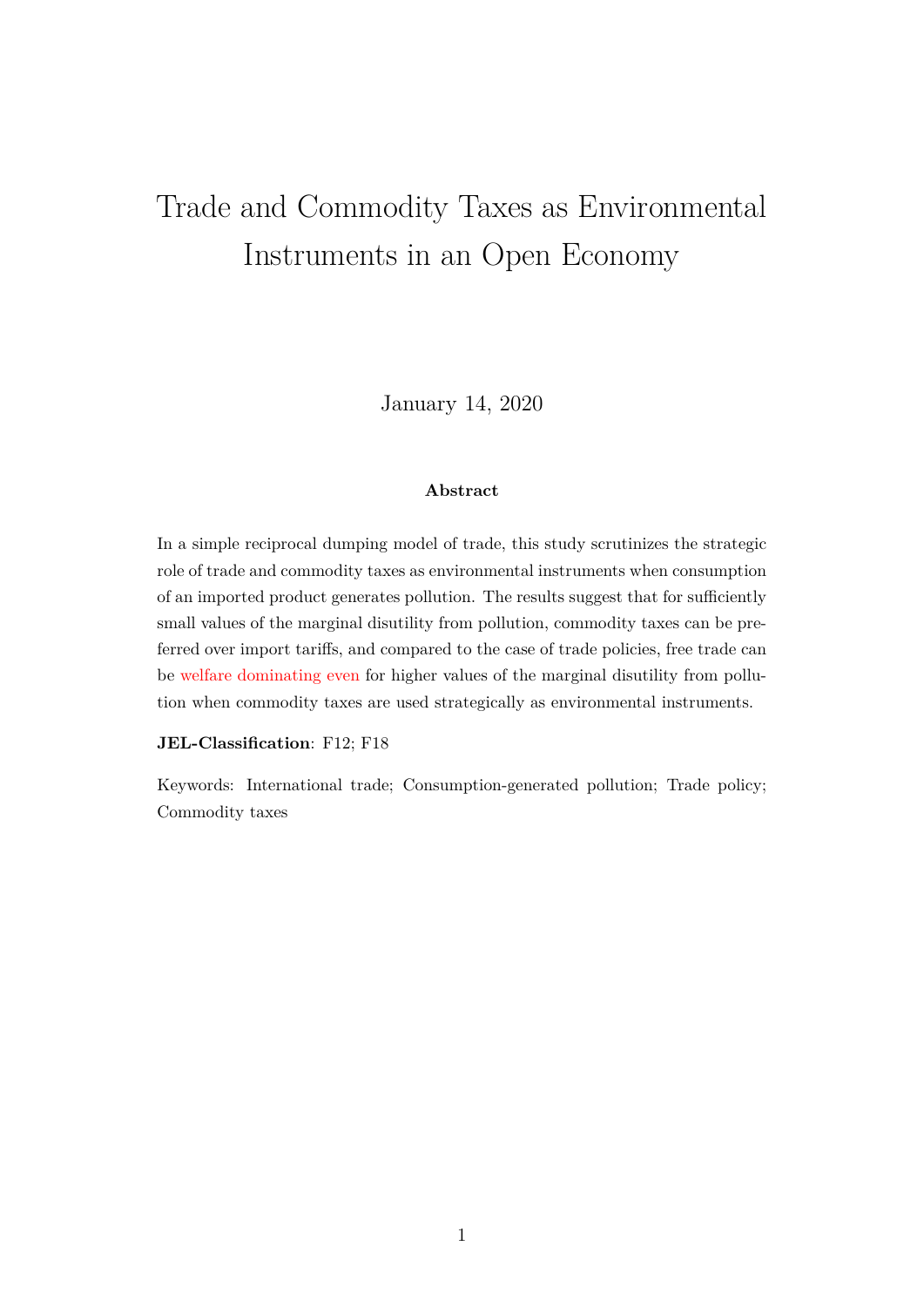# Trade and Commodity Taxes as Environmental Instruments in an Open Economy

January 14, 2020

### **Abstract**

In a simple reciprocal dumping model of trade, this study scrutinizes the strategic role of trade and commodity taxes as environmental instruments when consumption of an imported product generates pollution. The results suggest that for sufficiently small values of the marginal disutility from pollution, commodity taxes can be preferred over import tariffs, and compared to the case of trade policies, free trade can be welfare dominating even for higher values of the marginal disutility from pollution when commodity taxes are used strategically as environmental instruments.

#### **JEL-Classification**: F12; F18

Keywords: International trade; Consumption-generated pollution; Trade policy; Commodity taxes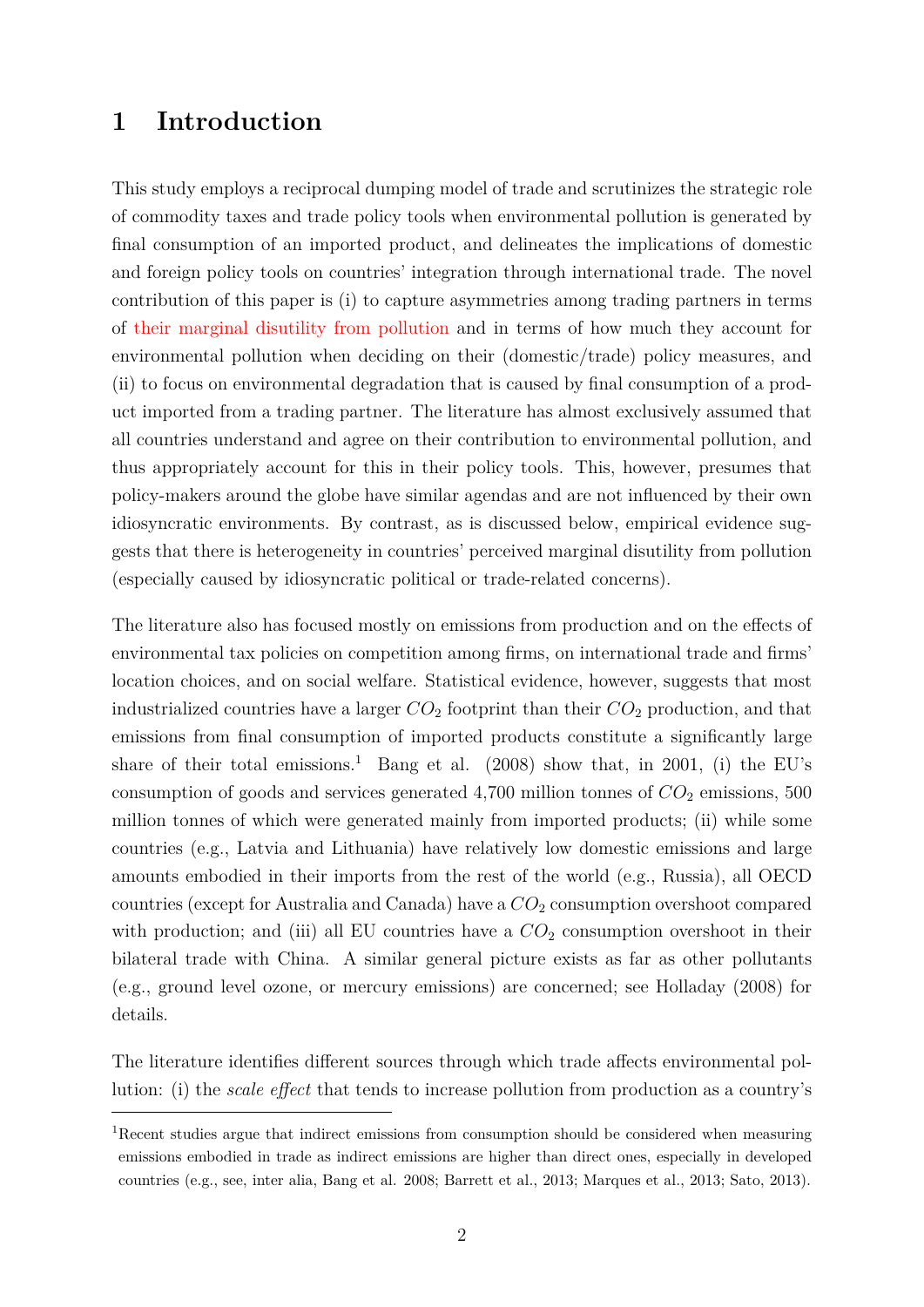# **1 Introduction**

This study employs a reciprocal dumping model of trade and scrutinizes the strategic role of commodity taxes and trade policy tools when environmental pollution is generated by final consumption of an imported product, and delineates the implications of domestic and foreign policy tools on countries' integration through international trade. The novel contribution of this paper is (i) to capture asymmetries among trading partners in terms of their marginal disutility from pollution and in terms of how much they account for environmental pollution when deciding on their (domestic/trade) policy measures, and (ii) to focus on environmental degradation that is caused by final consumption of a product imported from a trading partner. The literature has almost exclusively assumed that all countries understand and agree on their contribution to environmental pollution, and thus appropriately account for this in their policy tools. This, however, presumes that policy-makers around the globe have similar agendas and are not influenced by their own idiosyncratic environments. By contrast, as is discussed below, empirical evidence suggests that there is heterogeneity in countries' perceived marginal disutility from pollution (especially caused by idiosyncratic political or trade-related concerns).

The literature also has focused mostly on emissions from production and on the effects of environmental tax policies on competition among firms, on international trade and firms' location choices, and on social welfare. Statistical evidence, however, suggests that most industrialized countries have a larger *CO*<sup>2</sup> footprint than their *CO*<sup>2</sup> production, and that emissions from final consumption of imported products constitute a significantly large share of their total emissions.<sup>1</sup> Bang et al. (2008) show that, in 2001, (i) the EU's consumption of goods and services generated  $4,700$  million tonnes of  $CO<sub>2</sub>$  emissions, 500 million tonnes of which were generated mainly from imported products; (ii) while some countries (e.g., Latvia and Lithuania) have relatively low domestic emissions and large amounts embodied in their imports from the rest of the world (e.g., Russia), all OECD countries (except for Australia and Canada) have a  $CO<sub>2</sub>$  consumption overshoot compared with production; and (iii) all EU countries have a  $CO<sub>2</sub>$  consumption overshoot in their bilateral trade with China. A similar general picture exists as far as other pollutants (e.g., ground level ozone, or mercury emissions) are concerned; see Holladay (2008) for details.

The literature identifies different sources through which trade affects environmental pollution: (i) the *scale effect* that tends to increase pollution from production as a country's

<sup>1</sup>Recent studies argue that indirect emissions from consumption should be considered when measuring emissions embodied in trade as indirect emissions are higher than direct ones, especially in developed countries (e.g., see, inter alia, Bang et al. 2008; Barrett et al., 2013; Marques et al., 2013; Sato, 2013).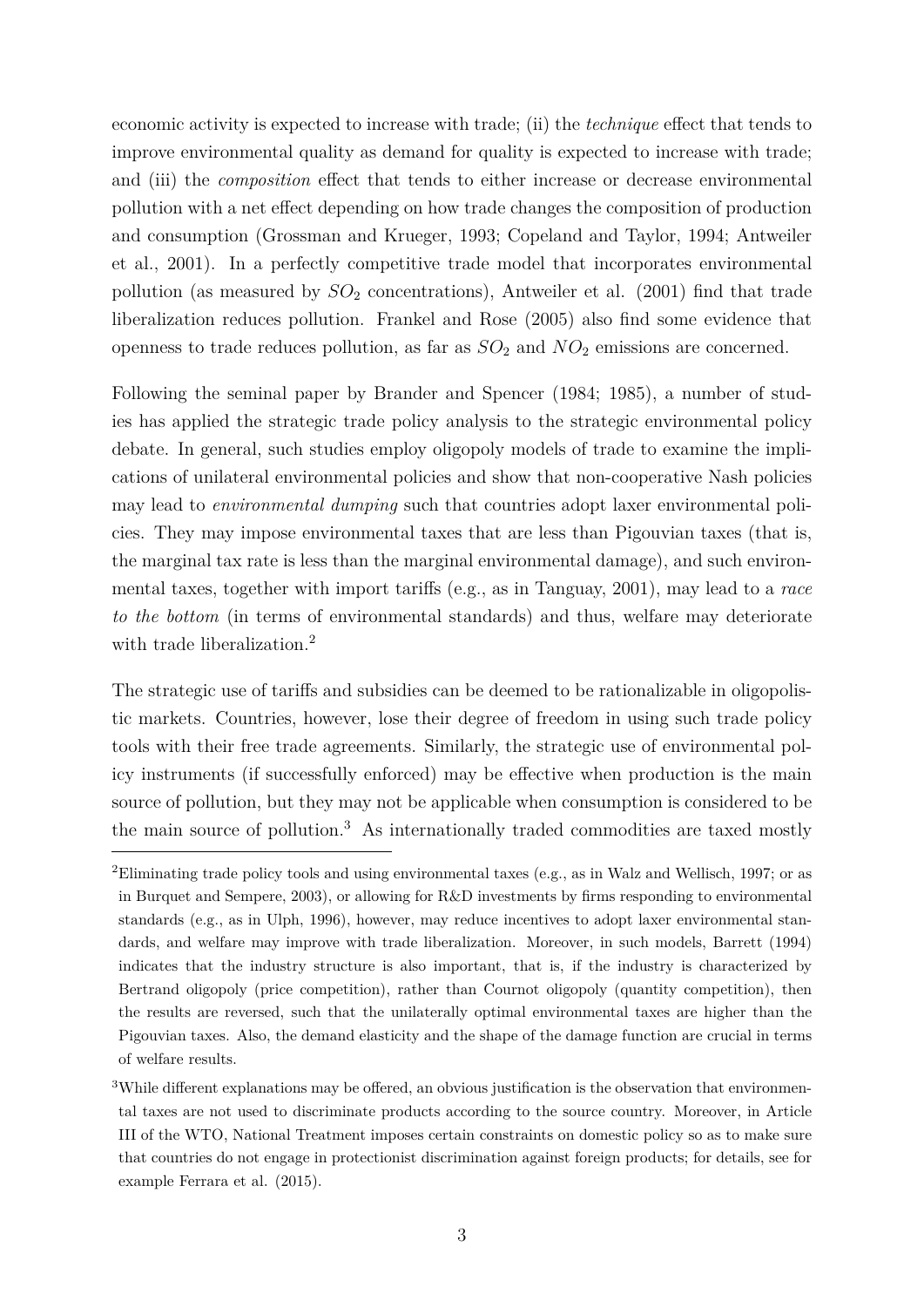economic activity is expected to increase with trade; (ii) the *technique* effect that tends to improve environmental quality as demand for quality is expected to increase with trade; and (iii) the *composition* effect that tends to either increase or decrease environmental pollution with a net effect depending on how trade changes the composition of production and consumption (Grossman and Krueger, 1993; Copeland and Taylor, 1994; Antweiler et al., 2001). In a perfectly competitive trade model that incorporates environmental pollution (as measured by  $SO_2$  concentrations), Antweiler et al. (2001) find that trade liberalization reduces pollution. Frankel and Rose (2005) also find some evidence that openness to trade reduces pollution, as far as *SO*<sup>2</sup> and *NO*<sup>2</sup> emissions are concerned.

Following the seminal paper by Brander and Spencer (1984; 1985), a number of studies has applied the strategic trade policy analysis to the strategic environmental policy debate. In general, such studies employ oligopoly models of trade to examine the implications of unilateral environmental policies and show that non-cooperative Nash policies may lead to *environmental dumping* such that countries adopt laxer environmental policies. They may impose environmental taxes that are less than Pigouvian taxes (that is, the marginal tax rate is less than the marginal environmental damage), and such environmental taxes, together with import tariffs (e.g., as in Tanguay, 2001), may lead to a *race to the bottom* (in terms of environmental standards) and thus, welfare may deteriorate with trade liberalization.<sup>2</sup>

The strategic use of tariffs and subsidies can be deemed to be rationalizable in oligopolistic markets. Countries, however, lose their degree of freedom in using such trade policy tools with their free trade agreements. Similarly, the strategic use of environmental policy instruments (if successfully enforced) may be effective when production is the main source of pollution, but they may not be applicable when consumption is considered to be the main source of pollution.<sup>3</sup> As internationally traded commodities are taxed mostly

<sup>2</sup>Eliminating trade policy tools and using environmental taxes (e.g., as in Walz and Wellisch, 1997; or as in Burquet and Sempere, 2003), or allowing for R&D investments by firms responding to environmental standards (e.g., as in Ulph, 1996), however, may reduce incentives to adopt laxer environmental standards, and welfare may improve with trade liberalization. Moreover, in such models, Barrett (1994) indicates that the industry structure is also important, that is, if the industry is characterized by Bertrand oligopoly (price competition), rather than Cournot oligopoly (quantity competition), then the results are reversed, such that the unilaterally optimal environmental taxes are higher than the Pigouvian taxes. Also, the demand elasticity and the shape of the damage function are crucial in terms of welfare results.

 $3$ While different explanations may be offered, an obvious justification is the observation that environmental taxes are not used to discriminate products according to the source country. Moreover, in Article III of the WTO, National Treatment imposes certain constraints on domestic policy so as to make sure that countries do not engage in protectionist discrimination against foreign products; for details, see for example Ferrara et al. (2015).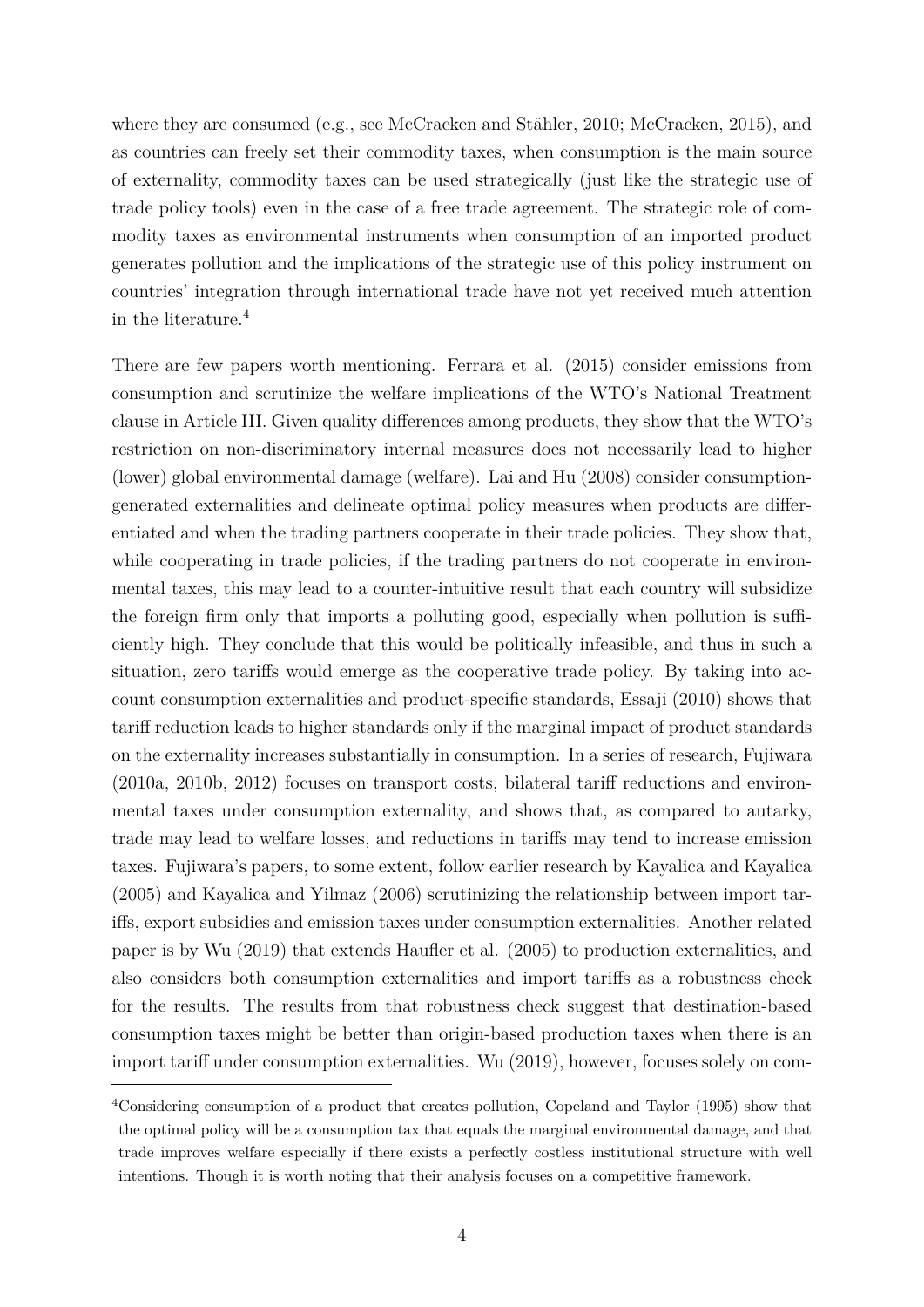where they are consumed (e.g., see McCracken and Stähler, 2010; McCracken, 2015), and as countries can freely set their commodity taxes, when consumption is the main source of externality, commodity taxes can be used strategically (just like the strategic use of trade policy tools) even in the case of a free trade agreement. The strategic role of commodity taxes as environmental instruments when consumption of an imported product generates pollution and the implications of the strategic use of this policy instrument on countries' integration through international trade have not yet received much attention in the literature.<sup>4</sup>

There are few papers worth mentioning. Ferrara et al. (2015) consider emissions from consumption and scrutinize the welfare implications of the WTO's National Treatment clause in Article III. Given quality differences among products, they show that the WTO's restriction on non-discriminatory internal measures does not necessarily lead to higher (lower) global environmental damage (welfare). Lai and Hu (2008) consider consumptiongenerated externalities and delineate optimal policy measures when products are dierentiated and when the trading partners cooperate in their trade policies. They show that, while cooperating in trade policies, if the trading partners do not cooperate in environmental taxes, this may lead to a counter-intuitive result that each country will subsidize the foreign firm only that imports a polluting good, especially when pollution is sufficiently high. They conclude that this would be politically infeasible, and thus in such a situation, zero tariffs would emerge as the cooperative trade policy. By taking into account consumption externalities and product-specific standards, Essaji (2010) shows that tariff reduction leads to higher standards only if the marginal impact of product standards on the externality increases substantially in consumption. In a series of research, Fujiwara  $(2010a, 2010b, 2012)$  focuses on transport costs, bilateral tariff reductions and environmental taxes under consumption externality, and shows that, as compared to autarky, trade may lead to welfare losses, and reductions in tariffs may tend to increase emission taxes. Fujiwara's papers, to some extent, follow earlier research by Kayalica and Kayalica (2005) and Kayalica and Yilmaz (2006) scrutinizing the relationship between import tariffs, export subsidies and emission taxes under consumption externalities. Another related paper is by Wu (2019) that extends Haufler et al. (2005) to production externalities, and also considers both consumption externalities and import tariffs as a robustness check for the results. The results from that robustness check suggest that destination-based consumption taxes might be better than origin-based production taxes when there is an import tariff under consumption externalities. Wu (2019), however, focuses solely on com-

<sup>4</sup>Considering consumption of a product that creates pollution, Copeland and Taylor (1995) show that the optimal policy will be a consumption tax that equals the marginal environmental damage, and that trade improves welfare especially if there exists a perfectly costless institutional structure with well intentions. Though it is worth noting that their analysis focuses on a competitive framework.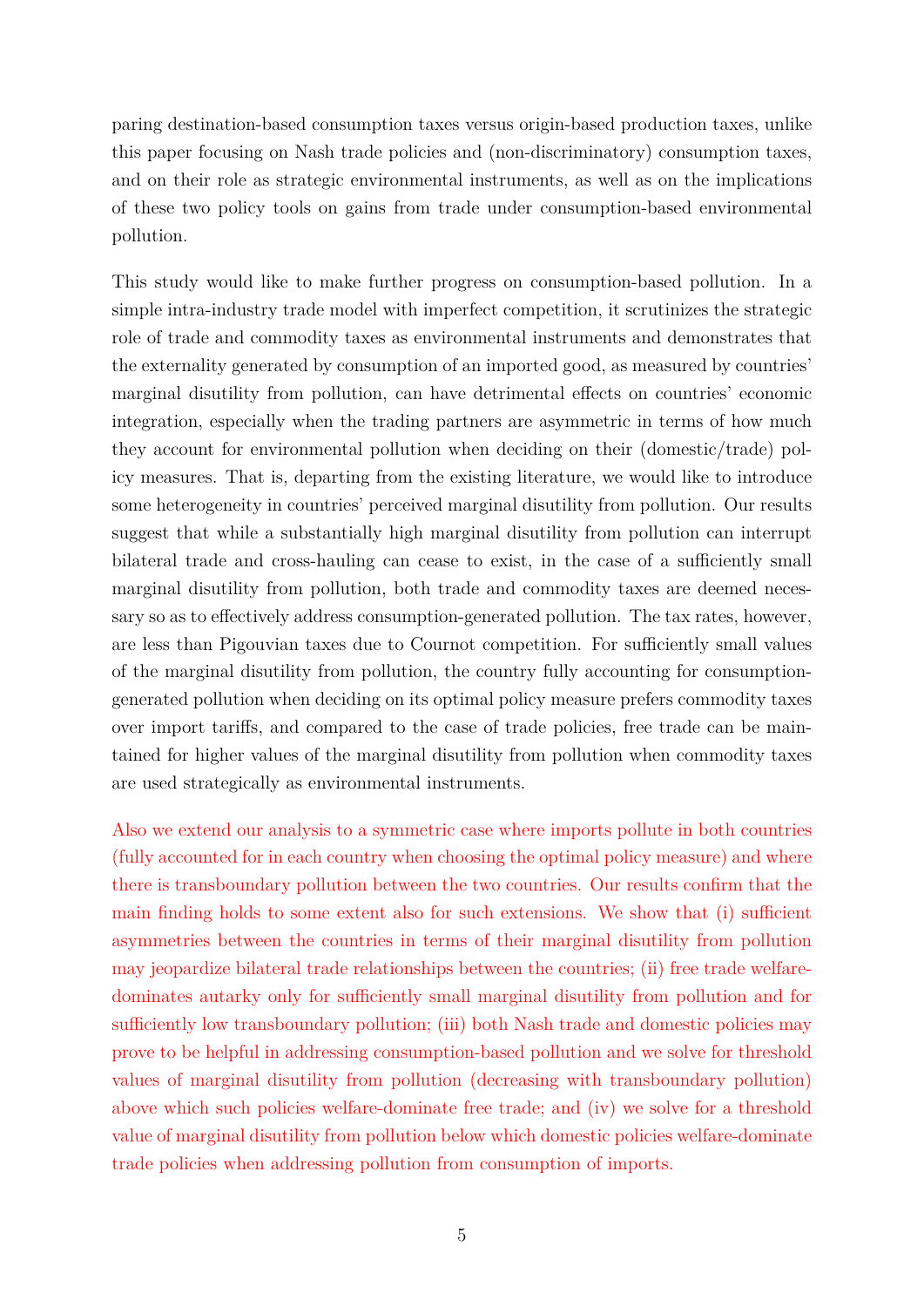paring destination-based consumption taxes versus origin-based production taxes, unlike this paper focusing on Nash trade policies and (non-discriminatory) consumption taxes, and on their role as strategic environmental instruments, as well as on the implications of these two policy tools on gains from trade under consumption-based environmental pollution.

This study would like to make further progress on consumption-based pollution. In a simple intra-industry trade model with imperfect competition, it scrutinizes the strategic role of trade and commodity taxes as environmental instruments and demonstrates that the externality generated by consumption of an imported good, as measured by countries' marginal disutility from pollution, can have detrimental effects on countries' economic integration, especially when the trading partners are asymmetric in terms of how much they account for environmental pollution when deciding on their (domestic/trade) policy measures. That is, departing from the existing literature, we would like to introduce some heterogeneity in countries' perceived marginal disutility from pollution. Our results suggest that while a substantially high marginal disutility from pollution can interrupt bilateral trade and cross-hauling can cease to exist, in the case of a sufficiently small marginal disutility from pollution, both trade and commodity taxes are deemed necessary so as to effectively address consumption-generated pollution. The tax rates, however, are less than Pigouvian taxes due to Cournot competition. For sufficiently small values of the marginal disutility from pollution, the country fully accounting for consumptiongenerated pollution when deciding on its optimal policy measure prefers commodity taxes over import tariffs, and compared to the case of trade policies, free trade can be maintained for higher values of the marginal disutility from pollution when commodity taxes are used strategically as environmental instruments.

Also we extend our analysis to a symmetric case where imports pollute in both countries (fully accounted for in each country when choosing the optimal policy measure) and where there is transboundary pollution between the two countries. Our results confirm that the main finding holds to some extent also for such extensions. We show that (i) sufficient asymmetries between the countries in terms of their marginal disutility from pollution may jeopardize bilateral trade relationships between the countries; (ii) free trade welfaredominates autarky only for sufficiently small marginal disutility from pollution and for sufficiently low transboundary pollution; (iii) both Nash trade and domestic policies may prove to be helpful in addressing consumption-based pollution and we solve for threshold values of marginal disutility from pollution (decreasing with transboundary pollution) above which such policies welfare-dominate free trade; and (iv) we solve for a threshold value of marginal disutility from pollution below which domestic policies welfare-dominate trade policies when addressing pollution from consumption of imports.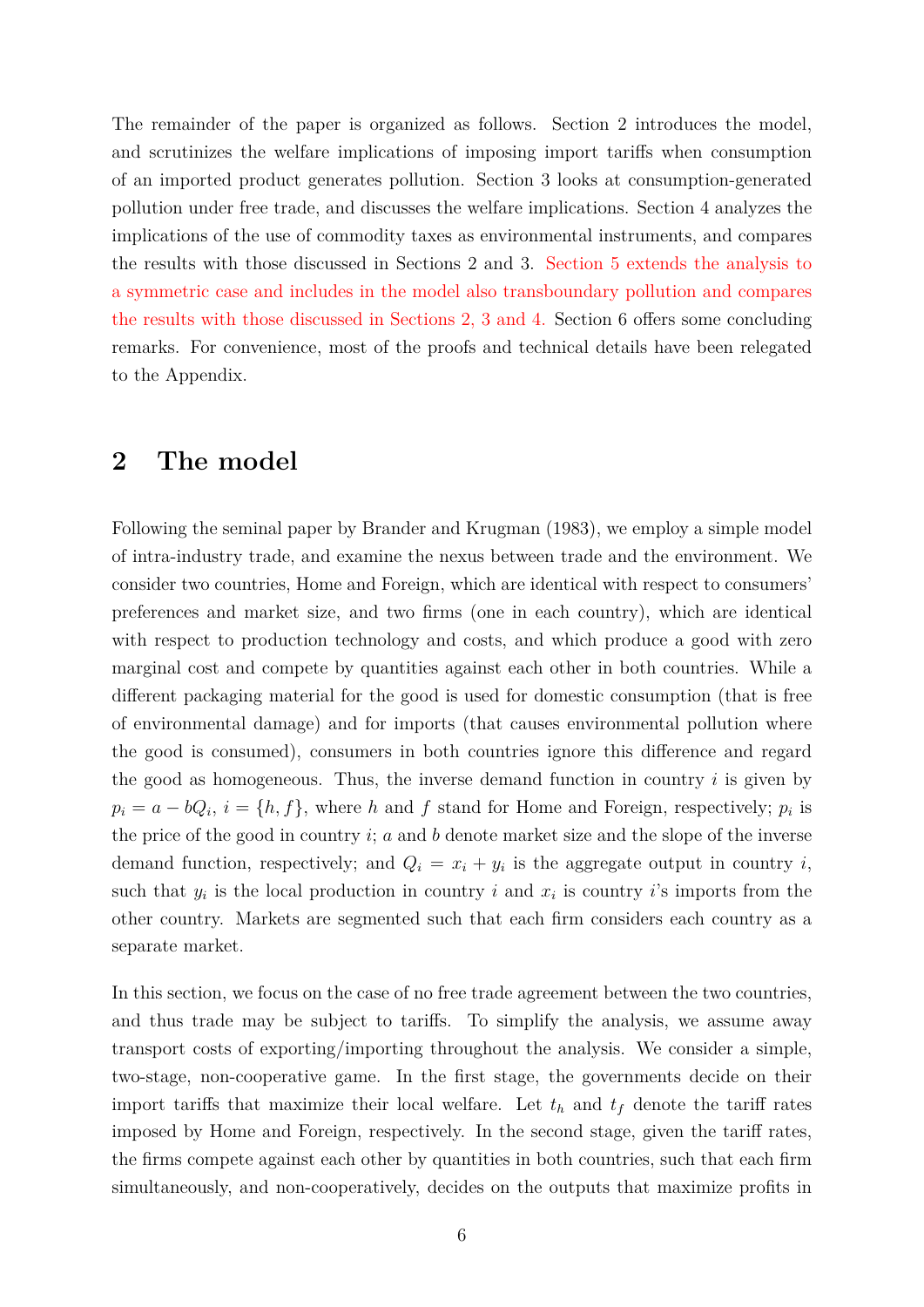The remainder of the paper is organized as follows. Section 2 introduces the model, and scrutinizes the welfare implications of imposing import tariffs when consumption of an imported product generates pollution. Section 3 looks at consumption-generated pollution under free trade, and discusses the welfare implications. Section 4 analyzes the implications of the use of commodity taxes as environmental instruments, and compares the results with those discussed in Sections 2 and 3. Section 5 extends the analysis to a symmetric case and includes in the model also transboundary pollution and compares the results with those discussed in Sections 2, 3 and 4. Section 6 offers some concluding remarks. For convenience, most of the proofs and technical details have been relegated to the Appendix.

## **2 The model**

Following the seminal paper by Brander and Krugman (1983), we employ a simple model of intra-industry trade, and examine the nexus between trade and the environment. We consider two countries, Home and Foreign, which are identical with respect to consumers' preferences and market size, and two firms (one in each country), which are identical with respect to production technology and costs, and which produce a good with zero marginal cost and compete by quantities against each other in both countries. While a different packaging material for the good is used for domestic consumption (that is free of environmental damage) and for imports (that causes environmental pollution where the good is consumed), consumers in both countries ignore this difference and regard the good as homogeneous. Thus, the inverse demand function in country *i* is given by  $p_i = a - bQ_i$ ,  $i = \{h, f\}$ , where *h* and *f* stand for Home and Foreign, respectively;  $p_i$  is the price of the good in country *i*; *a* and *b* denote market size and the slope of the inverse demand function, respectively; and  $Q_i = x_i + y_i$  is the aggregate output in country *i*, such that  $y_i$  is the local production in country *i* and  $x_i$  is country *i*'s imports from the other country. Markets are segmented such that each firm considers each country as a separate market.

In this section, we focus on the case of no free trade agreement between the two countries, and thus trade may be subject to tariffs. To simplify the analysis, we assume away transport costs of exporting/importing throughout the analysis. We consider a simple, two-stage, non-cooperative game. In the first stage, the governments decide on their import tariffs that maximize their local welfare. Let  $t_h$  and  $t_f$  denote the tariff rates imposed by Home and Foreign, respectively. In the second stage, given the tariff rates, the firms compete against each other by quantities in both countries, such that each firm simultaneously, and non-cooperatively, decides on the outputs that maximize profits in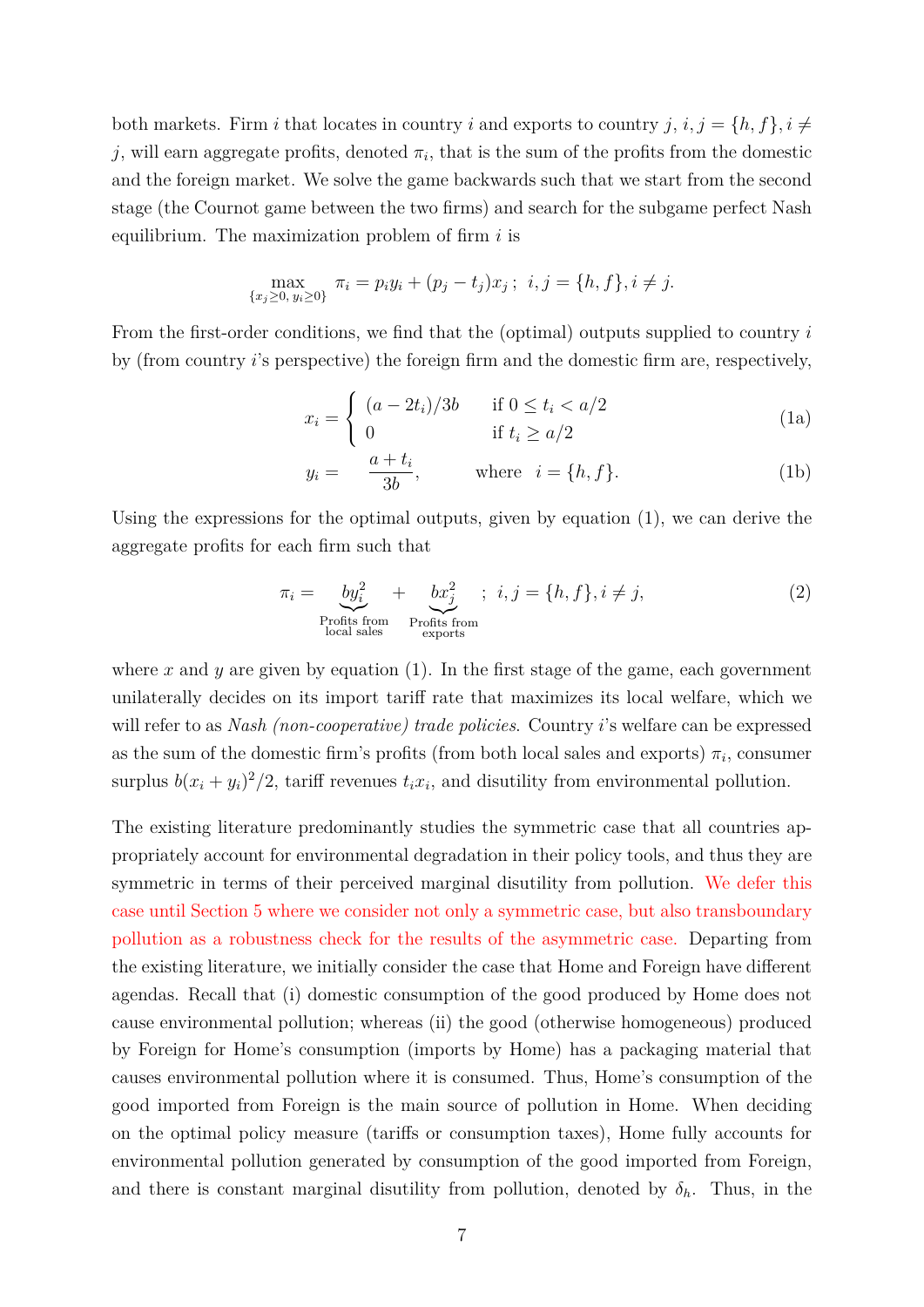both markets. Firm *i* that locates in country *i* and exports to country *j*,  $i, j = \{h, f\}, i \neq j$ *j*, will earn aggregate profits, denoted  $\pi_i$ , that is the sum of the profits from the domestic and the foreign market. We solve the game backwards such that we start from the second stage (the Cournot game between the two firms) and search for the subgame perfect Nash equilibrium. The maximization problem of firm *i* is

$$
\max_{\{x_j \ge 0, y_i \ge 0\}} \pi_i = p_i y_i + (p_j - t_j)x_j; \ \ i, j = \{h, f\}, i \ne j.
$$

From the first-order conditions, we find that the (optimal) outputs supplied to country *i* by (from country *i*'s perspective) the foreign firm and the domestic firm are, respectively,

$$
x_i = \begin{cases} (a - 2t_i)/3b & \text{if } 0 \le t_i < a/2\\ 0 & \text{if } t_i \ge a/2 \end{cases}
$$
 (1a)

$$
y_i = \frac{a + t_i}{3b}, \qquad \text{where } i = \{h, f\}. \tag{1b}
$$

Using the expressions for the optimal outputs, given by equation (1), we can derive the aggregate profits for each firm such that

$$
\pi_i = \underbrace{by_i^2}_{\text{Profits from}} + \underbrace{bx_j^2}_{\text{Profits from}}; \quad i, j = \{h, f\}, i \neq j,
$$
\n
$$
(2)
$$
\n
$$
\underbrace{\text{Profits from}}_{\text{exports}}
$$

where  $x$  and  $y$  are given by equation  $(1)$ . In the first stage of the game, each government unilaterally decides on its import tariff rate that maximizes its local welfare, which we will refer to as *Nash (non-cooperative) trade policies*. Country *i*'s welfare can be expressed as the sum of the domestic firm's profits (from both local sales and exports)  $\pi_i$ , consumer surplus  $b(x_i + y_i)^2/2$ , tariff revenues  $t_i x_i$ , and disutility from environmental pollution.

The existing literature predominantly studies the symmetric case that all countries appropriately account for environmental degradation in their policy tools, and thus they are symmetric in terms of their perceived marginal disutility from pollution. We defer this case until Section 5 where we consider not only a symmetric case, but also transboundary pollution as a robustness check for the results of the asymmetric case. Departing from the existing literature, we initially consider the case that Home and Foreign have different agendas. Recall that (i) domestic consumption of the good produced by Home does not cause environmental pollution; whereas (ii) the good (otherwise homogeneous) produced by Foreign for Home's consumption (imports by Home) has a packaging material that causes environmental pollution where it is consumed. Thus, Home's consumption of the good imported from Foreign is the main source of pollution in Home. When deciding on the optimal policy measure (tariffs or consumption taxes), Home fully accounts for environmental pollution generated by consumption of the good imported from Foreign, and there is constant marginal disutility from pollution, denoted by  $\delta_h$ . Thus, in the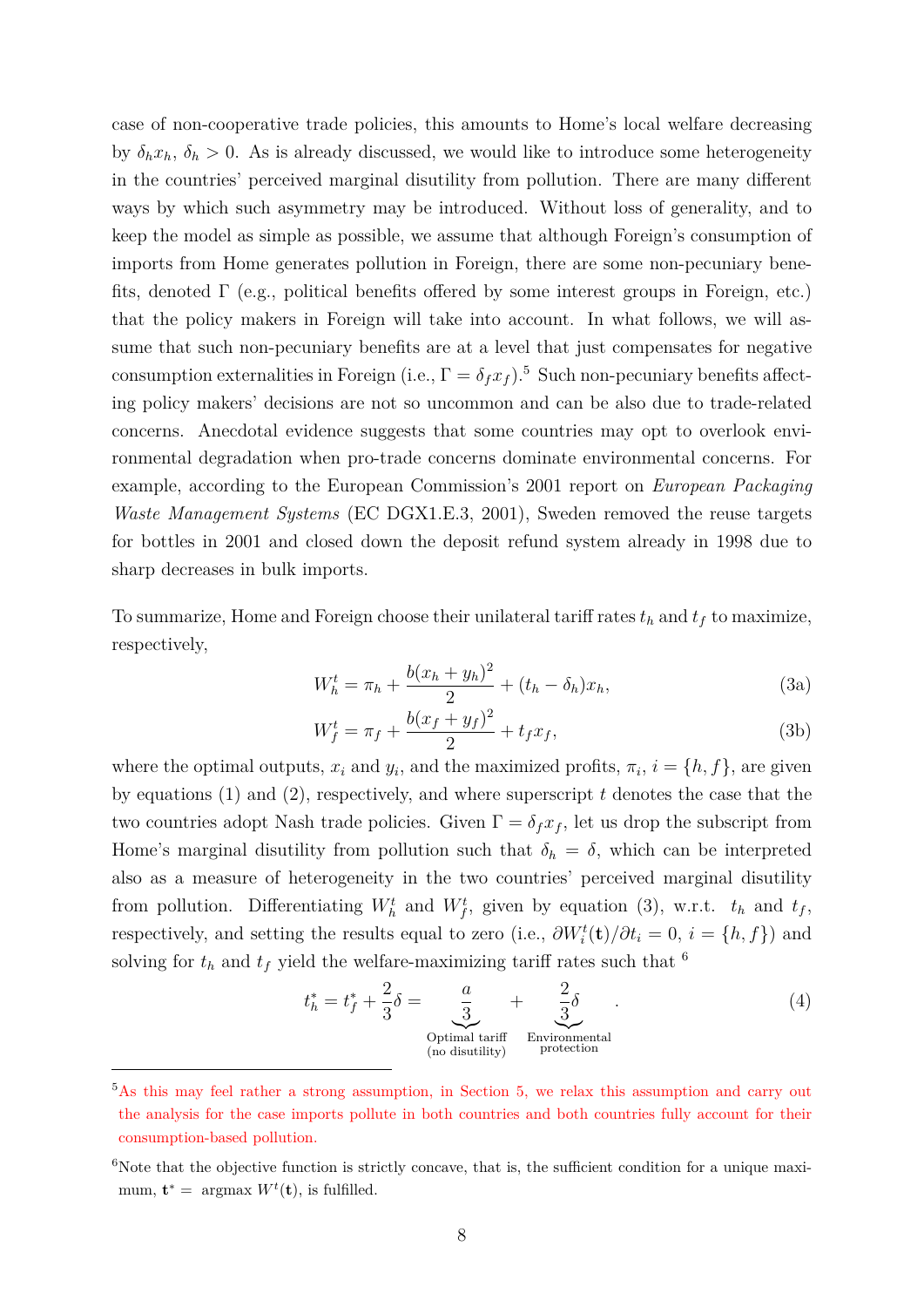case of non-cooperative trade policies, this amounts to Home's local welfare decreasing by  $\delta_h x_h$ ,  $\delta_h > 0$ . As is already discussed, we would like to introduce some heterogeneity in the countries' perceived marginal disutility from pollution. There are many different ways by which such asymmetry may be introduced. Without loss of generality, and to keep the model as simple as possible, we assume that although Foreign's consumption of imports from Home generates pollution in Foreign, there are some non-pecuniary benefits, denoted  $\Gamma$  (e.g., political benefits offered by some interest groups in Foreign, etc.) that the policy makers in Foreign will take into account. In what follows, we will assume that such non-pecuniary benefits are at a level that just compensates for negative consumption externalities in Foreign (i.e.,  $\Gamma = \delta_f x_f$ ).<sup>5</sup> Such non-pecuniary benefits affecting policy makers' decisions are not so uncommon and can be also due to trade-related concerns. Anecdotal evidence suggests that some countries may opt to overlook environmental degradation when pro-trade concerns dominate environmental concerns. For example, according to the European Commission's 2001 report on *European Packaging Waste Management Systems* (EC DGX1.E.3, 2001), Sweden removed the reuse targets for bottles in 2001 and closed down the deposit refund system already in 1998 due to sharp decreases in bulk imports.

To summarize, Home and Foreign choose their unilateral tariff rates  $t_h$  and  $t_f$  to maximize, respectively,

$$
W_h^t = \pi_h + \frac{b(x_h + y_h)^2}{2} + (t_h - \delta_h)x_h,
$$
\n(3a)

$$
W_f^t = \pi_f + \frac{b(x_f + y_f)^2}{2} + t_f x_f,
$$
\n(3b)

where the optimal outputs,  $x_i$  and  $y_i$ , and the maximized profits,  $\pi_i$ ,  $i = \{h, f\}$ , are given by equations (1) and (2), respectively, and where superscript *t* denotes the case that the two countries adopt Nash trade policies. Given  $\Gamma = \delta_f x_f$ , let us drop the subscript from Home's marginal disutility from pollution such that  $\delta_h = \delta$ , which can be interpreted also as a measure of heterogeneity in the two countries' perceived marginal disutility from pollution. Differentiating  $W_h^t$  and  $W_f^t$ , given by equation (3), w.r.t.  $t_h$  and  $t_f$ , respectively, and setting the results equal to zero (i.e.,  $\partial W_i^t(\mathbf{t})/\partial t_i = 0$ ,  $i = \{h, f\}$ ) and solving for  $t_h$  and  $t_f$  yield the welfare-maximizing tariff rates such that  $\delta$ 

$$
t_h^* = t_f^* + \frac{2}{3}\delta = \underbrace{\frac{a}{3}}_{\substack{\text{Optimal tariff} \\ \text{(no disutility)}}} + \underbrace{\frac{2}{3}\delta}_{\substack{\text{Environmental} \\ \text{projection}}}.
$$
\n(4)

<sup>&</sup>lt;sup>5</sup>As this may feel rather a strong assumption, in Section 5, we relax this assumption and carry out the analysis for the case imports pollute in both countries and both countries fully account for their consumption-based pollution.

 $6$ Note that the objective function is strictly concave, that is, the sufficient condition for a unique maximum,  $\mathbf{t}^* = \text{argmax } W^t(\mathbf{t}), \text{ is fulfilled.}$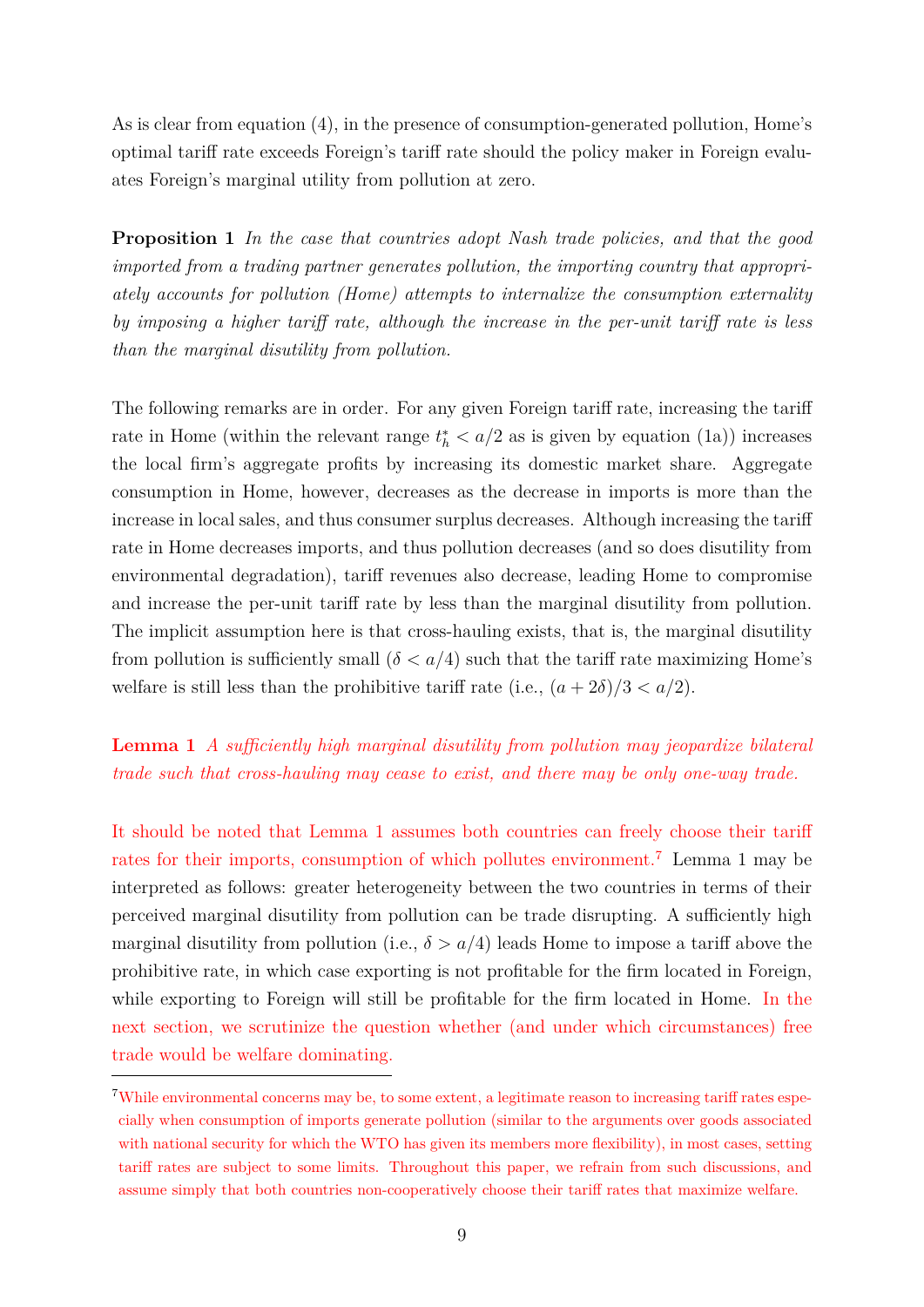As is clear from equation (4), in the presence of consumption-generated pollution, Home's optimal tariff rate exceeds Foreign's tariff rate should the policy maker in Foreign evaluates Foreign's marginal utility from pollution at zero.

**Proposition 1** *In the case that countries adopt Nash trade policies, and that the good imported from a trading partner generates pollution, the importing country that appropriately accounts for pollution (Home) attempts to internalize the consumption externality by imposing a higher tariff rate, although the increase in the per-unit tariff rate is less than the marginal disutility from pollution.*

The following remarks are in order. For any given Foreign tariff rate, increasing the tariff rate in Home (within the relevant range  $t_h^* < a/2$  as is given by equation (1a)) increases the local firm's aggregate profits by increasing its domestic market share. Aggregate consumption in Home, however, decreases as the decrease in imports is more than the increase in local sales, and thus consumer surplus decreases. Although increasing the tariff rate in Home decreases imports, and thus pollution decreases (and so does disutility from environmental degradation), tariff revenues also decrease, leading Home to compromise and increase the per-unit tariff rate by less than the marginal disutility from pollution. The implicit assumption here is that cross-hauling exists, that is, the marginal disutility from pollution is sufficiently small  $(\delta < a/4)$  such that the tariff rate maximizing Home's welfare is still less than the prohibitive tariff rate (i.e.,  $(a + 2\delta)/3 < a/2$ ).

**Lemma 1** *A suciently high marginal disutility from pollution may jeopardize bilateral trade such that cross-hauling may cease to exist, and there may be only one-way trade.*

It should be noted that Lemma 1 assumes both countries can freely choose their tariff rates for their imports, consumption of which pollutes environment.<sup>7</sup> Lemma 1 may be interpreted as follows: greater heterogeneity between the two countries in terms of their perceived marginal disutility from pollution can be trade disrupting. A sufficiently high marginal disutility from pollution (i.e.,  $\delta > a/4$ ) leads Home to impose a tariff above the prohibitive rate, in which case exporting is not profitable for the firm located in Foreign, while exporting to Foreign will still be profitable for the firm located in Home. In the next section, we scrutinize the question whether (and under which circumstances) free trade would be welfare dominating.

<sup>&</sup>lt;sup>7</sup>While environmental concerns may be, to some extent, a legitimate reason to increasing tariff rates especially when consumption of imports generate pollution (similar to the arguments over goods associated with national security for which the WTO has given its members more flexibility), in most cases, setting tariff rates are subject to some limits. Throughout this paper, we refrain from such discussions, and assume simply that both countries non-cooperatively choose their tariff rates that maximize welfare.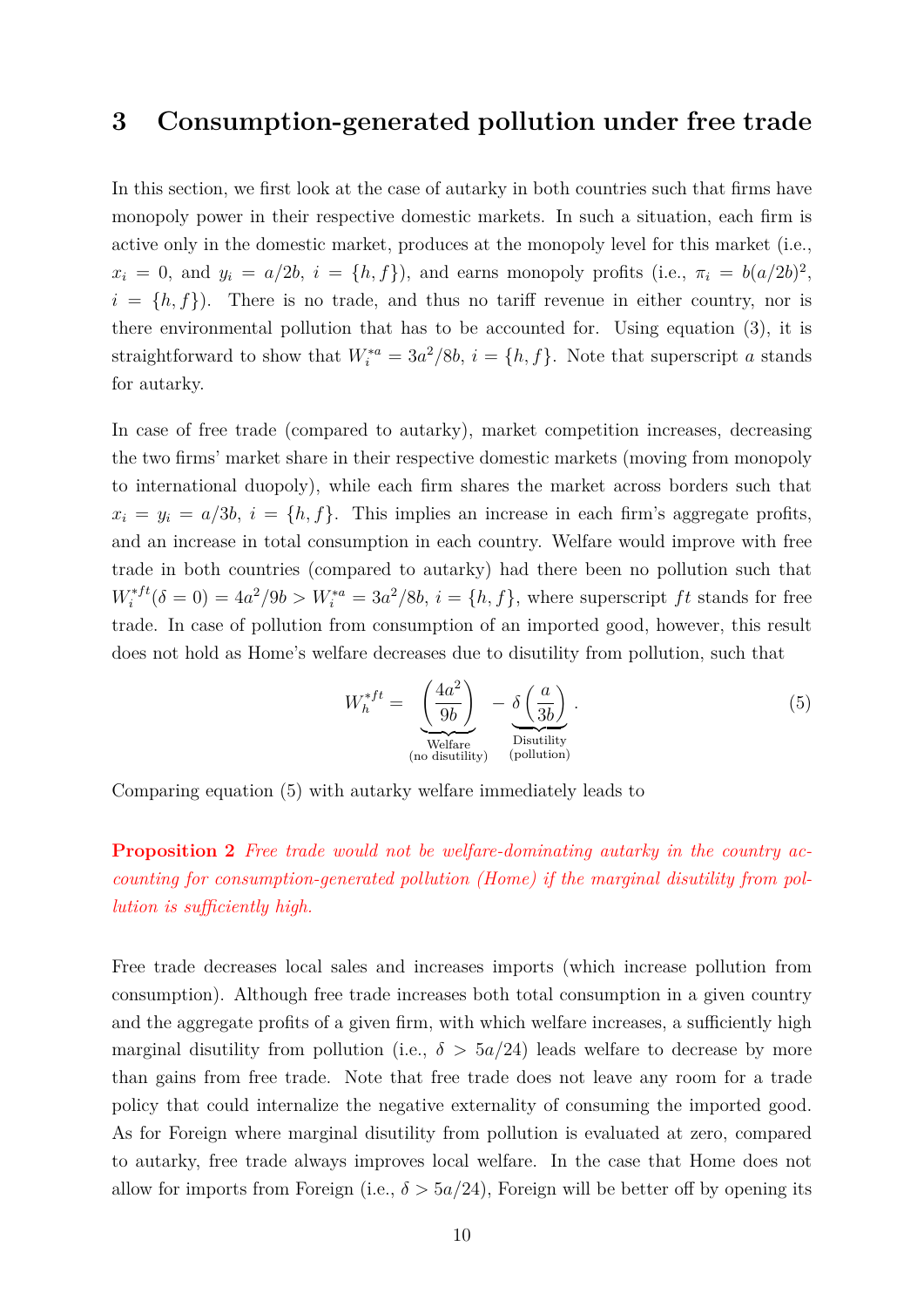### **3 Consumption-generated pollution under free trade**

In this section, we first look at the case of autarky in both countries such that firms have monopoly power in their respective domestic markets. In such a situation, each firm is active only in the domestic market, produces at the monopoly level for this market (i.e.,  $x_i = 0$ , and  $y_i = a/2b$ ,  $i = \{h, f\}$ , and earns monopoly profits (i.e.,  $\pi_i = b(a/2b)^2$ ,  $i = \{h, f\}$ . There is no trade, and thus no tariff revenue in either country, nor is there environmental pollution that has to be accounted for. Using equation (3), it is straightforward to show that  $W_i^{*a} = 3a^2/8b$ ,  $i = \{h, f\}$ . Note that superscript *a* stands for autarky.

In case of free trade (compared to autarky), market competition increases, decreasing the two firms' market share in their respective domestic markets (moving from monopoly to international duopoly), while each firm shares the market across borders such that  $x_i = y_i = a/3b$ ,  $i = \{h, f\}$ . This implies an increase in each firm's aggregate profits, and an increase in total consumption in each country. Welfare would improve with free trade in both countries (compared to autarky) had there been no pollution such that  $W_i^{*ft}(\delta = 0) = 4a^2/9b > W_i^{*a} = 3a^2/8b, i = \{h, f\}$ , where superscript *ft* stands for free trade. In case of pollution from consumption of an imported good, however, this result does not hold as Home's welfare decreases due to disutility from pollution, such that

$$
W_h^{*ft} = \underbrace{\left(\frac{4a^2}{9b}\right)}_{\text{Welfare}} - \underbrace{\delta\left(\frac{a}{3b}\right)}_{\text{Disutility}}.
$$
\n(5)

Comparing equation (5) with autarky welfare immediately leads to

**Proposition 2** *Free trade would not be welfare-dominating autarky in the country accounting for consumption-generated pollution (Home) if the marginal disutility from pollution is sufficiently high.* 

Free trade decreases local sales and increases imports (which increase pollution from consumption). Although free trade increases both total consumption in a given country and the aggregate profits of a given firm, with which welfare increases, a sufficiently high marginal disutility from pollution (i.e.,  $\delta > 5a/24$ ) leads welfare to decrease by more than gains from free trade. Note that free trade does not leave any room for a trade policy that could internalize the negative externality of consuming the imported good. As for Foreign where marginal disutility from pollution is evaluated at zero, compared to autarky, free trade always improves local welfare. In the case that Home does not allow for imports from Foreign (i.e.,  $\delta > 5a/24$ ), Foreign will be better off by opening its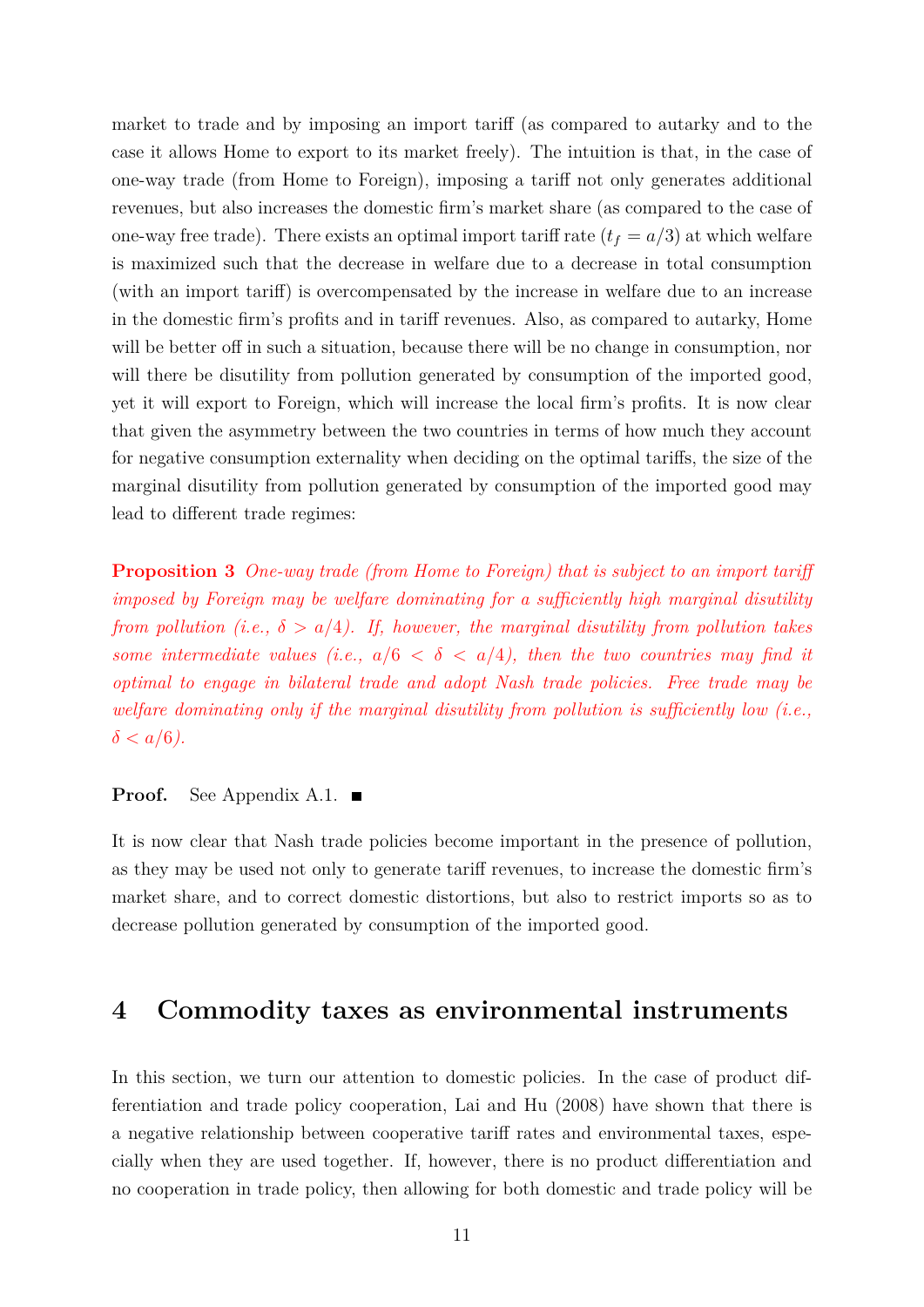market to trade and by imposing an import tariff (as compared to autarky and to the case it allows Home to export to its market freely). The intuition is that, in the case of one-way trade (from Home to Foreign), imposing a tariff not only generates additional revenues, but also increases the domestic firm's market share (as compared to the case of one-way free trade). There exists an optimal import tariff rate  $(t_f = a/3)$  at which welfare is maximized such that the decrease in welfare due to a decrease in total consumption (with an import tariff) is overcompensated by the increase in welfare due to an increase in the domestic firm's profits and in tariff revenues. Also, as compared to autarky, Home will be better off in such a situation, because there will be no change in consumption, nor will there be disutility from pollution generated by consumption of the imported good, yet it will export to Foreign, which will increase the local firm's profits. It is now clear that given the asymmetry between the two countries in terms of how much they account for negative consumption externality when deciding on the optimal tariffs, the size of the marginal disutility from pollution generated by consumption of the imported good may lead to different trade regimes:

**Proposition 3** *One-way trade (from Home to Foreign) that is subject to an import tari imposed by Foreign may be welfare dominating for a suciently high marginal disutility from pollution (i.e.,*  $\delta > a/4$ ). If, however, the marginal disutility from pollution takes *some intermediate values (i.e.,*  $a/6 < \delta < a/4$ ), then the two countries may find it *optimal to engage in bilateral trade and adopt Nash trade policies. Free trade may be*  $w$ *elfare dominating only if the marginal disutility from pollution is sufficiently low (i.e.,*  $\delta < a/6$ .

#### **Proof.** See Appendix A.1. ■

It is now clear that Nash trade policies become important in the presence of pollution, as they may be used not only to generate tariff revenues, to increase the domestic firm's market share, and to correct domestic distortions, but also to restrict imports so as to decrease pollution generated by consumption of the imported good.

### **4 Commodity taxes as environmental instruments**

In this section, we turn our attention to domestic policies. In the case of product differentiation and trade policy cooperation, Lai and Hu (2008) have shown that there is a negative relationship between cooperative tariff rates and environmental taxes, especially when they are used together. If, however, there is no product differentiation and no cooperation in trade policy, then allowing for both domestic and trade policy will be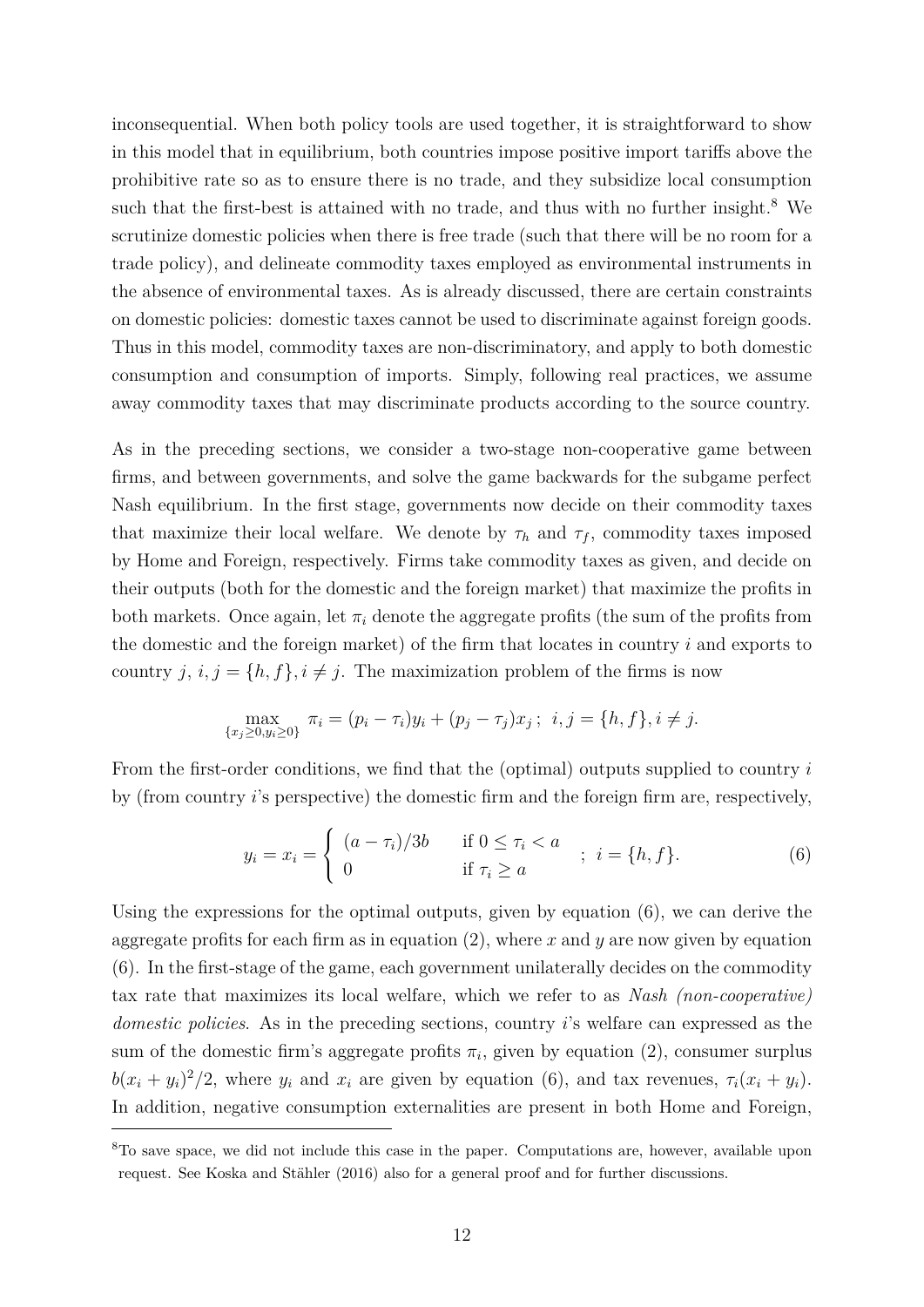inconsequential. When both policy tools are used together, it is straightforward to show in this model that in equilibrium, both countries impose positive import tariffs above the prohibitive rate so as to ensure there is no trade, and they subsidize local consumption such that the first-best is attained with no trade, and thus with no further insight.<sup>8</sup> We scrutinize domestic policies when there is free trade (such that there will be no room for a trade policy), and delineate commodity taxes employed as environmental instruments in the absence of environmental taxes. As is already discussed, there are certain constraints on domestic policies: domestic taxes cannot be used to discriminate against foreign goods. Thus in this model, commodity taxes are non-discriminatory, and apply to both domestic consumption and consumption of imports. Simply, following real practices, we assume away commodity taxes that may discriminate products according to the source country.

As in the preceding sections, we consider a two-stage non-cooperative game between firms, and between governments, and solve the game backwards for the subgame perfect Nash equilibrium. In the first stage, governments now decide on their commodity taxes that maximize their local welfare. We denote by  $\tau_h$  and  $\tau_f$ , commodity taxes imposed by Home and Foreign, respectively. Firms take commodity taxes as given, and decide on their outputs (both for the domestic and the foreign market) that maximize the profits in both markets. Once again, let  $\pi_i$  denote the aggregate profits (the sum of the profits from the domestic and the foreign market) of the firm that locates in country *i* and exports to country  $j, i, j = \{h, f\}, i \neq j$ . The maximization problem of the firms is now

$$
\max_{\{x_j \ge 0, y_i \ge 0\}} \pi_i = (p_i - \tau_i)y_i + (p_j - \tau_j)x_j; \ \ i, j = \{h, f\}, i \ne j.
$$

From the first-order conditions, we find that the (optimal) outputs supplied to country *i* by (from country *i*'s perspective) the domestic firm and the foreign firm are, respectively,

$$
y_i = x_i = \begin{cases} (a - \tau_i)/3b & \text{if } 0 \le \tau_i < a \\ 0 & \text{if } \tau_i \ge a \end{cases} ; i = \{h, f\}. \tag{6}
$$

Using the expressions for the optimal outputs, given by equation (6), we can derive the aggregate profits for each firm as in equation (2), where *x* and *y* are now given by equation (6). In the first-stage of the game, each government unilaterally decides on the commodity tax rate that maximizes its local welfare, which we refer to as *Nash (non-cooperative) domestic policies*. As in the preceding sections, country *i*'s welfare can expressed as the sum of the domestic firm's aggregate profits  $\pi_i$ , given by equation (2), consumer surplus  $b(x_i + y_i)^2/2$ , where  $y_i$  and  $x_i$  are given by equation (6), and tax revenues,  $\tau_i(x_i + y_i)$ . In addition, negative consumption externalities are present in both Home and Foreign,

<sup>8</sup>To save space, we did not include this case in the paper. Computations are, however, available upon request. See Koska and Stähler (2016) also for a general proof and for further discussions.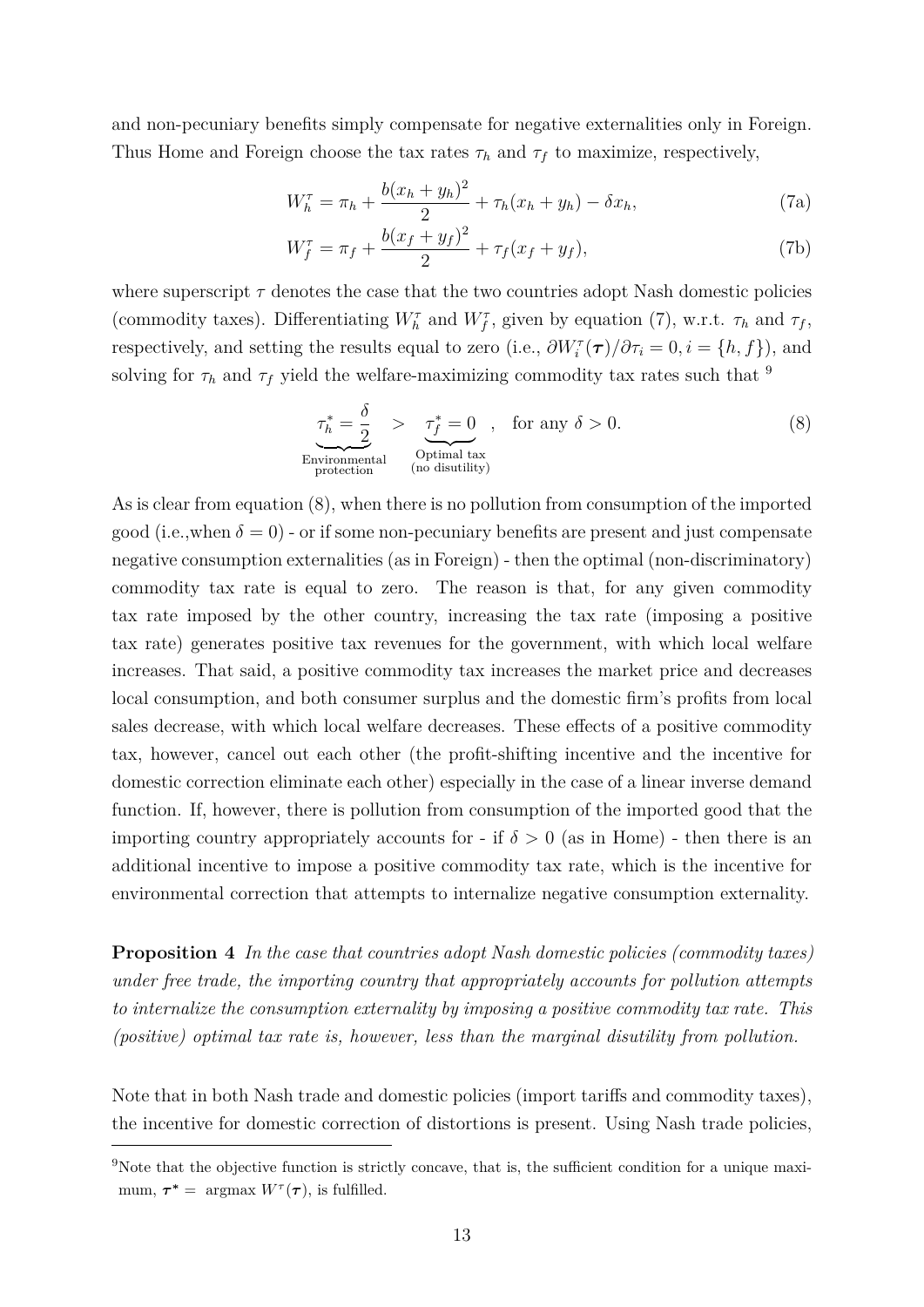and non-pecuniary benefits simply compensate for negative externalities only in Foreign. Thus Home and Foreign choose the tax rates  $\tau_h$  and  $\tau_f$  to maximize, respectively,

$$
W_h^{\tau} = \pi_h + \frac{b(x_h + y_h)^2}{2} + \tau_h(x_h + y_h) - \delta x_h,
$$
 (7a)

$$
W_f^{\tau} = \pi_f + \frac{b(x_f + y_f)^2}{2} + \tau_f(x_f + y_f),
$$
 (7b)

where superscript  $\tau$  denotes the case that the two countries adopt Nash domestic policies (commodity taxes). Differentiating  $W_h^{\tau}$  and  $W_f^{\tau}$ , given by equation (7), w.r.t.  $\tau_h$  and  $\tau_f$ , respectively, and setting the results equal to zero (i.e.,  $\partial W_i^{\tau}(\tau)/\partial \tau_i = 0, i = \{h, f\}$ ), and solving for  $\tau_h$  and  $\tau_f$  yield the welfare-maximizing commodity tax rates such that <sup>9</sup>

$$
\underbrace{\tau_h^* = \frac{\delta}{2}}_{\text{Environmental}} > \underbrace{\tau_f^* = 0}_{\text{Optimal tax}} , \quad \text{for any } \delta > 0. \tag{8}
$$
\n
$$
\underbrace{\text{Environmental}}_{\text{protection}}
$$

As is clear from equation (8), when there is no pollution from consumption of the imported good (i.e.,when  $\delta = 0$ ) - or if some non-pecuniary benefits are present and just compensate negative consumption externalities (as in Foreign) - then the optimal (non-discriminatory) commodity tax rate is equal to zero. The reason is that, for any given commodity tax rate imposed by the other country, increasing the tax rate (imposing a positive tax rate) generates positive tax revenues for the government, with which local welfare increases. That said, a positive commodity tax increases the market price and decreases local consumption, and both consumer surplus and the domestic firm's profits from local sales decrease, with which local welfare decreases. These effects of a positive commodity tax, however, cancel out each other (the profit-shifting incentive and the incentive for domestic correction eliminate each other) especially in the case of a linear inverse demand function. If, however, there is pollution from consumption of the imported good that the importing country appropriately accounts for - if  $\delta > 0$  (as in Home) - then there is an additional incentive to impose a positive commodity tax rate, which is the incentive for environmental correction that attempts to internalize negative consumption externality.

**Proposition 4** *In the case that countries adopt Nash domestic policies (commodity taxes) under free trade, the importing country that appropriately accounts for pollution attempts to internalize the consumption externality by imposing a positive commodity tax rate. This (positive) optimal tax rate is, however, less than the marginal disutility from pollution.*

Note that in both Nash trade and domestic policies (import tariffs and commodity taxes), the incentive for domestic correction of distortions is present. Using Nash trade policies,

 $9$ Note that the objective function is strictly concave, that is, the sufficient condition for a unique maximum,  $\tau^* = \argmax W^{\tau}(\tau)$ , is fulfilled.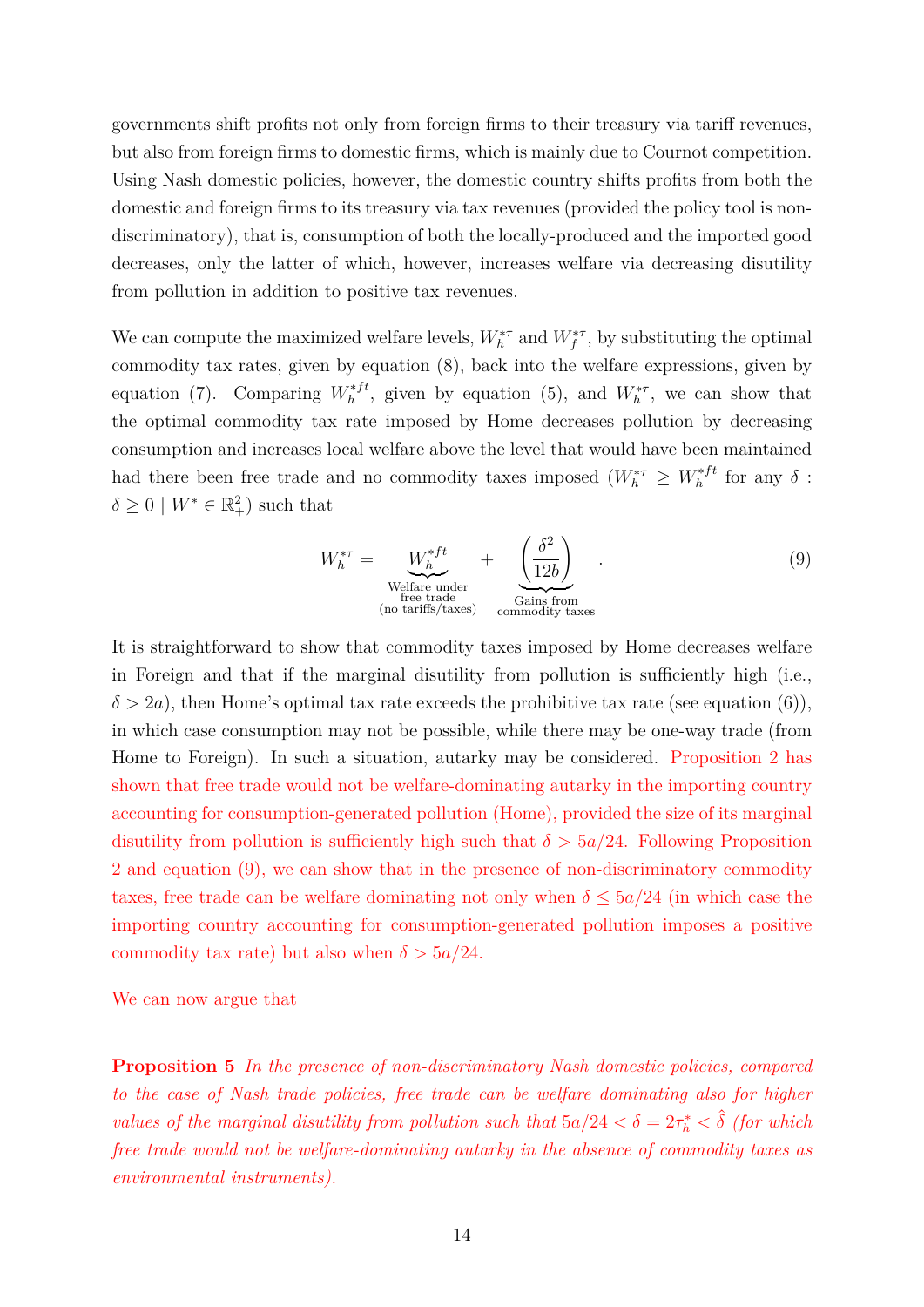governments shift profits not only from foreign firms to their treasury via tariff revenues, but also from foreign firms to domestic firms, which is mainly due to Cournot competition. Using Nash domestic policies, however, the domestic country shifts profits from both the domestic and foreign firms to its treasury via tax revenues (provided the policy tool is nondiscriminatory), that is, consumption of both the locally-produced and the imported good decreases, only the latter of which, however, increases welfare via decreasing disutility from pollution in addition to positive tax revenues.

We can compute the maximized welfare levels,  $W_h^{*\tau}$  and  $W_f^{*\tau}$ , by substituting the optimal commodity tax rates, given by equation (8), back into the welfare expressions, given by equation (7). Comparing  $W_h^{*ft}$ , given by equation (5), and  $W_h^{*r}$ , we can show that the optimal commodity tax rate imposed by Home decreases pollution by decreasing consumption and increases local welfare above the level that would have been maintained had there been free trade and no commodity taxes imposed  $(W_h^{*r} \geq W_h^{*ft}$  for any  $\delta$ :  $\delta \geq 0 \mid W^* \in \mathbb{R}^2_+$  such that

$$
W_h^{*\tau} = \underbrace{W_h^{*\tau t}}_{\text{Welfare under}} + \underbrace{\left(\frac{\delta^2}{12b}\right)}_{\text{free trade}}.
$$
\n(9)

It is straightforward to show that commodity taxes imposed by Home decreases welfare in Foreign and that if the marginal disutility from pollution is sufficiently high (i.e.,  $\delta > 2a$ , then Home's optimal tax rate exceeds the prohibitive tax rate (see equation (6)), in which case consumption may not be possible, while there may be one-way trade (from Home to Foreign). In such a situation, autarky may be considered. Proposition 2 has shown that free trade would not be welfare-dominating autarky in the importing country accounting for consumption-generated pollution (Home), provided the size of its marginal disutility from pollution is sufficiently high such that  $\delta > 5a/24$ . Following Proposition 2 and equation (9), we can show that in the presence of non-discriminatory commodity taxes, free trade can be welfare dominating not only when  $\delta \leq 5a/24$  (in which case the importing country accounting for consumption-generated pollution imposes a positive commodity tax rate) but also when  $\delta > 5a/24$ .

We can now argue that

**Proposition 5** *In the presence of non-discriminatory Nash domestic policies, compared to the case of Nash trade policies, free trade can be welfare dominating also for higher values of the marginal disutility from pollution such that*  $5a/24 < \delta = 2\tau_h^* < \hat{\delta}$  (for which *free trade would not be welfare-dominating autarky in the absence of commodity taxes as environmental instruments).*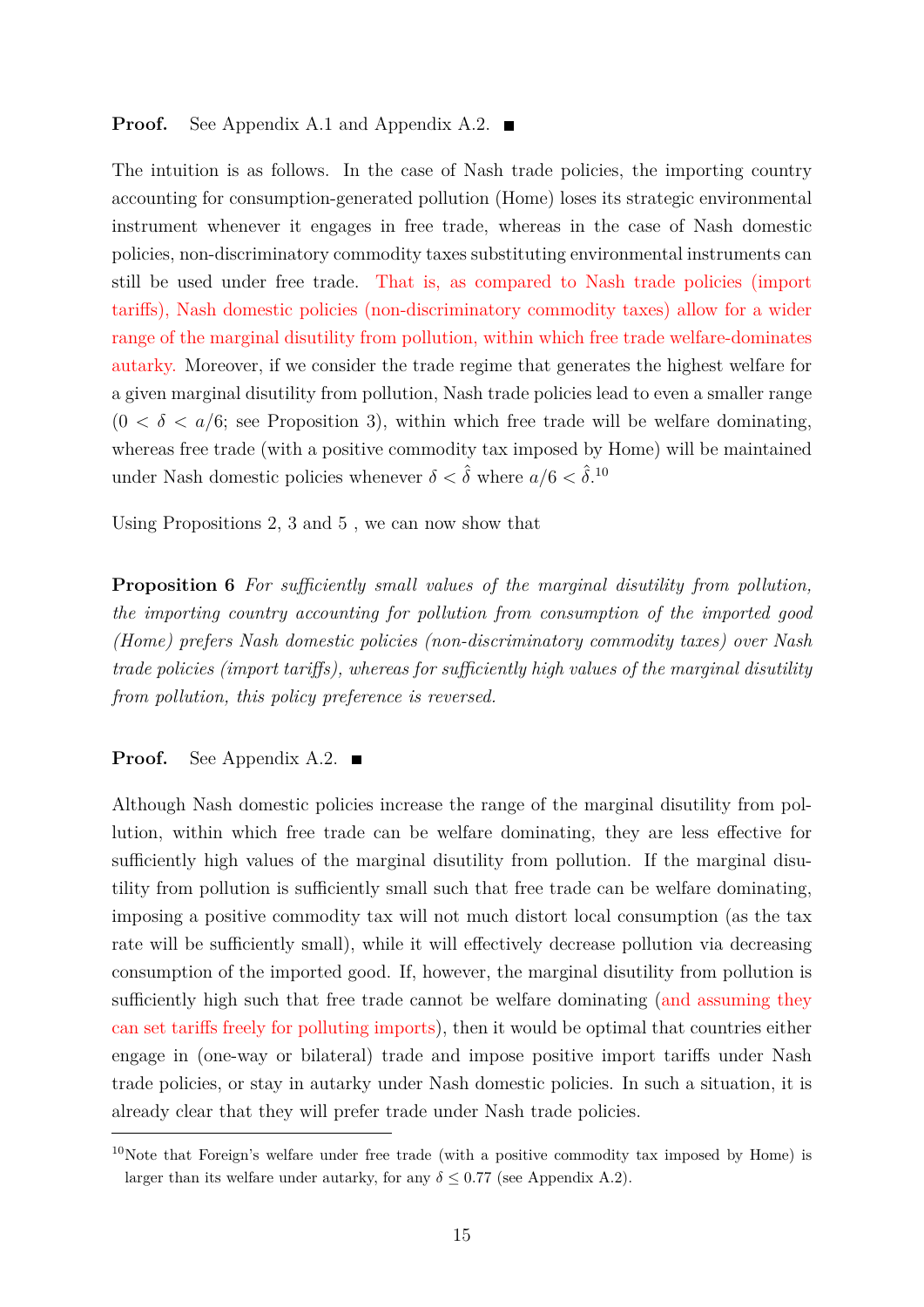#### **Proof.** See Appendix A.1 and Appendix A.2. ■

The intuition is as follows. In the case of Nash trade policies, the importing country accounting for consumption-generated pollution (Home) loses its strategic environmental instrument whenever it engages in free trade, whereas in the case of Nash domestic policies, non-discriminatory commodity taxes substituting environmental instruments can still be used under free trade. That is, as compared to Nash trade policies (import tariffs), Nash domestic policies (non-discriminatory commodity taxes) allow for a wider range of the marginal disutility from pollution, within which free trade welfare-dominates autarky. Moreover, if we consider the trade regime that generates the highest welfare for a given marginal disutility from pollution, Nash trade policies lead to even a smaller range  $(0 < \delta < a/6$ ; see Proposition 3), within which free trade will be welfare dominating, whereas free trade (with a positive commodity tax imposed by Home) will be maintained under Nash domestic policies whenever  $\delta < \hat{\delta}$  where  $a/6 < \hat{\delta}$ .<sup>10</sup>

Using Propositions 2, 3 and 5 , we can now show that

**Proposition 6** For sufficiently small values of the marginal disutility from pollution, *the importing country accounting for pollution from consumption of the imported good (Home) prefers Nash domestic policies (non-discriminatory commodity taxes) over Nash trade policies (import taris), whereas for suciently high values of the marginal disutility from pollution, this policy preference is reversed.*

#### **Proof.** See Appendix A.2. ■

Although Nash domestic policies increase the range of the marginal disutility from pollution, within which free trade can be welfare dominating, they are less effective for sufficiently high values of the marginal disutility from pollution. If the marginal disutility from pollution is sufficiently small such that free trade can be welfare dominating, imposing a positive commodity tax will not much distort local consumption (as the tax rate will be sufficiently small), while it will effectively decrease pollution via decreasing consumption of the imported good. If, however, the marginal disutility from pollution is sufficiently high such that free trade cannot be welfare dominating (and assuming they can set tariffs freely for polluting imports), then it would be optimal that countries either engage in (one-way or bilateral) trade and impose positive import tariffs under Nash trade policies, or stay in autarky under Nash domestic policies. In such a situation, it is already clear that they will prefer trade under Nash trade policies.

<sup>&</sup>lt;sup>10</sup>Note that Foreign's welfare under free trade (with a positive commodity tax imposed by Home) is larger than its welfare under autarky, for any  $\delta \leq 0.77$  (see Appendix A.2).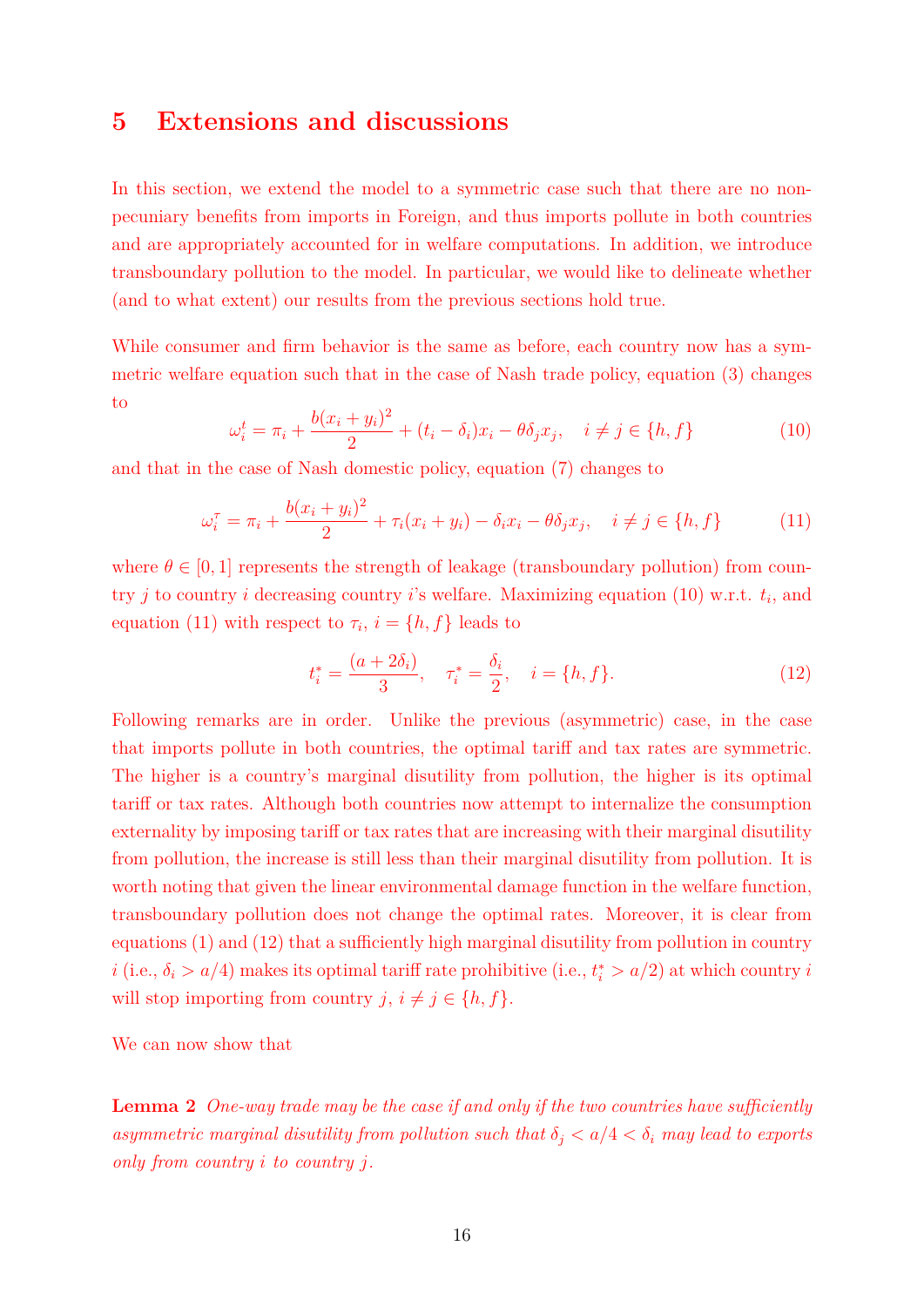# **5 Extensions and discussions**

In this section, we extend the model to a symmetric case such that there are no nonpecuniary benefits from imports in Foreign, and thus imports pollute in both countries and are appropriately accounted for in welfare computations. In addition, we introduce transboundary pollution to the model. In particular, we would like to delineate whether (and to what extent) our results from the previous sections hold true.

While consumer and firm behavior is the same as before, each country now has a symmetric welfare equation such that in the case of Nash trade policy, equation (3) changes to

$$
\omega_i^t = \pi_i + \frac{b(x_i + y_i)^2}{2} + (t_i - \delta_i)x_i - \theta \delta_j x_j, \quad i \neq j \in \{h, f\}
$$
 (10)

and that in the case of Nash domestic policy, equation (7) changes to

$$
\omega_i^{\tau} = \pi_i + \frac{b(x_i + y_i)^2}{2} + \tau_i(x_i + y_i) - \delta_i x_i - \theta \delta_j x_j, \quad i \neq j \in \{h, f\}
$$
 (11)

where  $\theta \in [0, 1]$  represents the strength of leakage (transboundary pollution) from country *j* to country *i* decreasing country *i*'s welfare. Maximizing equation (10) w.r.t. *ti*, and equation (11) with respect to  $\tau_i$ ,  $i = \{h, f\}$  leads to

$$
t_i^* = \frac{(a+2\delta_i)}{3}, \quad \tau_i^* = \frac{\delta_i}{2}, \quad i = \{h, f\}.
$$
 (12)

Following remarks are in order. Unlike the previous (asymmetric) case, in the case that imports pollute in both countries, the optimal tariff and tax rates are symmetric. The higher is a country's marginal disutility from pollution, the higher is its optimal tariff or tax rates. Although both countries now attempt to internalize the consumption externality by imposing tariff or tax rates that are increasing with their marginal disutility from pollution, the increase is still less than their marginal disutility from pollution. It is worth noting that given the linear environmental damage function in the welfare function, transboundary pollution does not change the optimal rates. Moreover, it is clear from equations  $(1)$  and  $(12)$  that a sufficiently high marginal disutility from pollution in country *i* (i.e.,  $\delta_i > a/4$ ) makes its optimal tariff rate prohibitive (i.e.,  $t_i^* > a/2$ ) at which country *i* will stop importing from country  $j, i \neq j \in \{h, f\}$ .

We can now show that

**Lemma 2** One-way trade may be the case if and only if the two countries have sufficiently *asymmetric marginal disutility from pollution such that*  $\delta_i < a/4 < \delta_i$  *may lead to exports only from country i to country j.*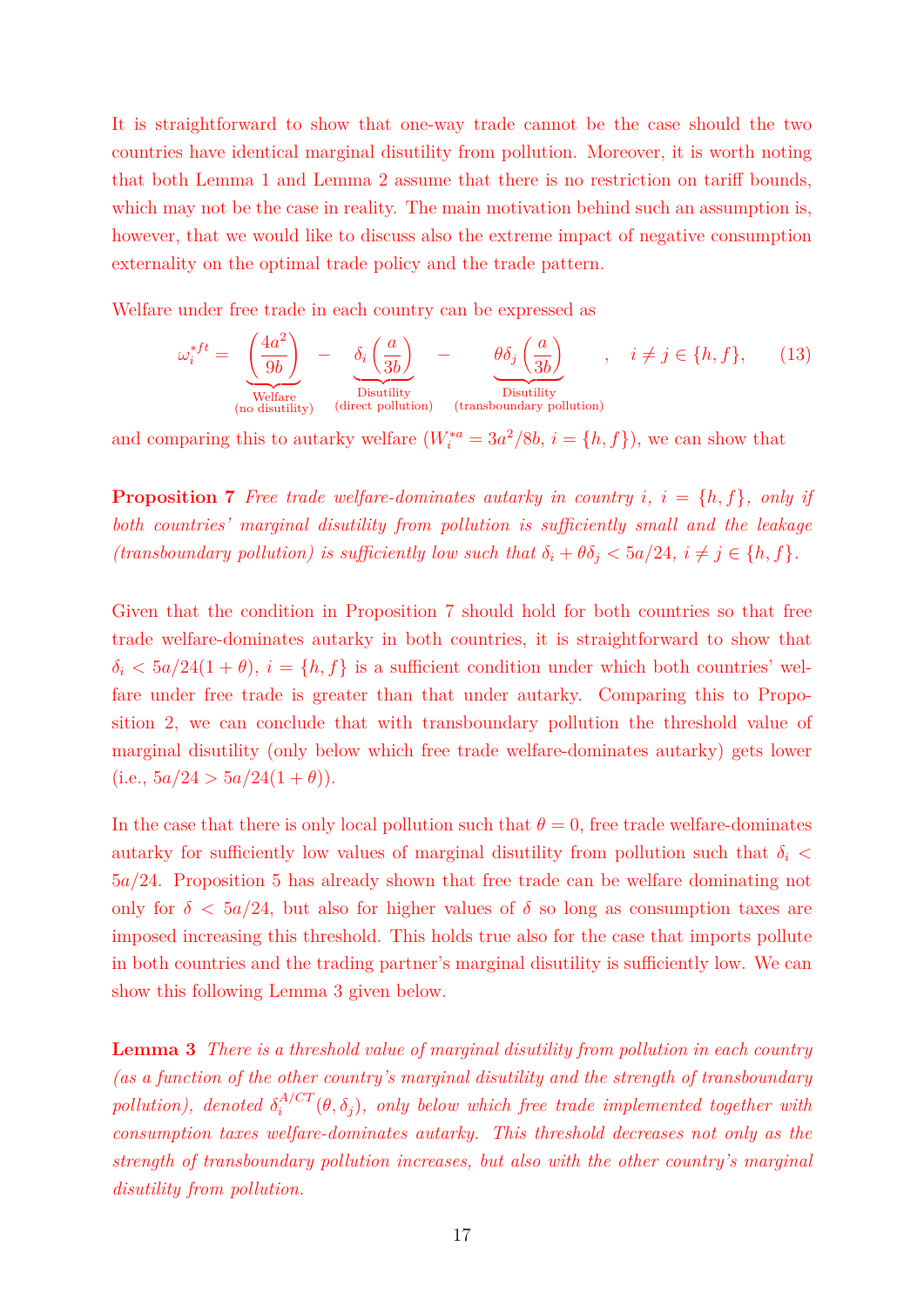It is straightforward to show that one-way trade cannot be the case should the two countries have identical marginal disutility from pollution. Moreover, it is worth noting that both Lemma 1 and Lemma 2 assume that there is no restriction on tariff bounds, which may not be the case in reality. The main motivation behind such an assumption is, however, that we would like to discuss also the extreme impact of negative consumption externality on the optimal trade policy and the trade pattern.

Welfare under free trade in each country can be expressed as

$$
\omega_i^{*ft} = \underbrace{\left(\frac{4a^2}{9b}\right)}_{\text{Welfare}} - \underbrace{\delta_i \left(\frac{a}{3b}\right)}_{\text{Disutility}} - \underbrace{\theta \delta_j \left(\frac{a}{3b}\right)}_{\text{Disutility}} , \quad i \neq j \in \{h, f\}, \tag{13}
$$

and comparing this to autarky welfare  $(W_i^{*a} = 3a^2/8b, i = \{h, f\})$ , we can show that

**Proposition 7** Free trade welfare-dominates autarky in country  $i$ ,  $i = \{h, f\}$ , only if *both countries' marginal disutility from pollution is suciently small and the leakage (transboundary pollution) is sufficiently low such that*  $\delta_i + \theta \delta_j < 5a/24$ ,  $i \neq j \in \{h, f\}$ .

Given that the condition in Proposition 7 should hold for both countries so that free trade welfare-dominates autarky in both countries, it is straightforward to show that  $\delta_i < 5a/24(1+\theta), i = \{h, f\}$  is a sufficient condition under which both countries' welfare under free trade is greater than that under autarky. Comparing this to Proposition 2, we can conclude that with transboundary pollution the threshold value of marginal disutility (only below which free trade welfare-dominates autarky) gets lower  $(i.e., 5a/24 > 5a/24(1 + \theta)).$ 

In the case that there is only local pollution such that  $\theta = 0$ , free trade welfare-dominates autarky for sufficiently low values of marginal disutility from pollution such that  $\delta_i$ 5*a/*24. Proposition 5 has already shown that free trade can be welfare dominating not only for  $\delta$  < 5*a*/24, but also for higher values of  $\delta$  so long as consumption taxes are imposed increasing this threshold. This holds true also for the case that imports pollute in both countries and the trading partner's marginal disutility is sufficiently low. We can show this following Lemma 3 given below.

**Lemma 3** *There is a threshold value of marginal disutility from pollution in each country (as a function of the other country's marginal disutility and the strength of transboundary pollution), denoted*  $\delta_i^{A/CT}(\theta, \delta_j)$ , only below which free trade implemented together with *consumption taxes welfare-dominates autarky. This threshold decreases not only as the strength of transboundary pollution increases, but also with the other country's marginal disutility from pollution.*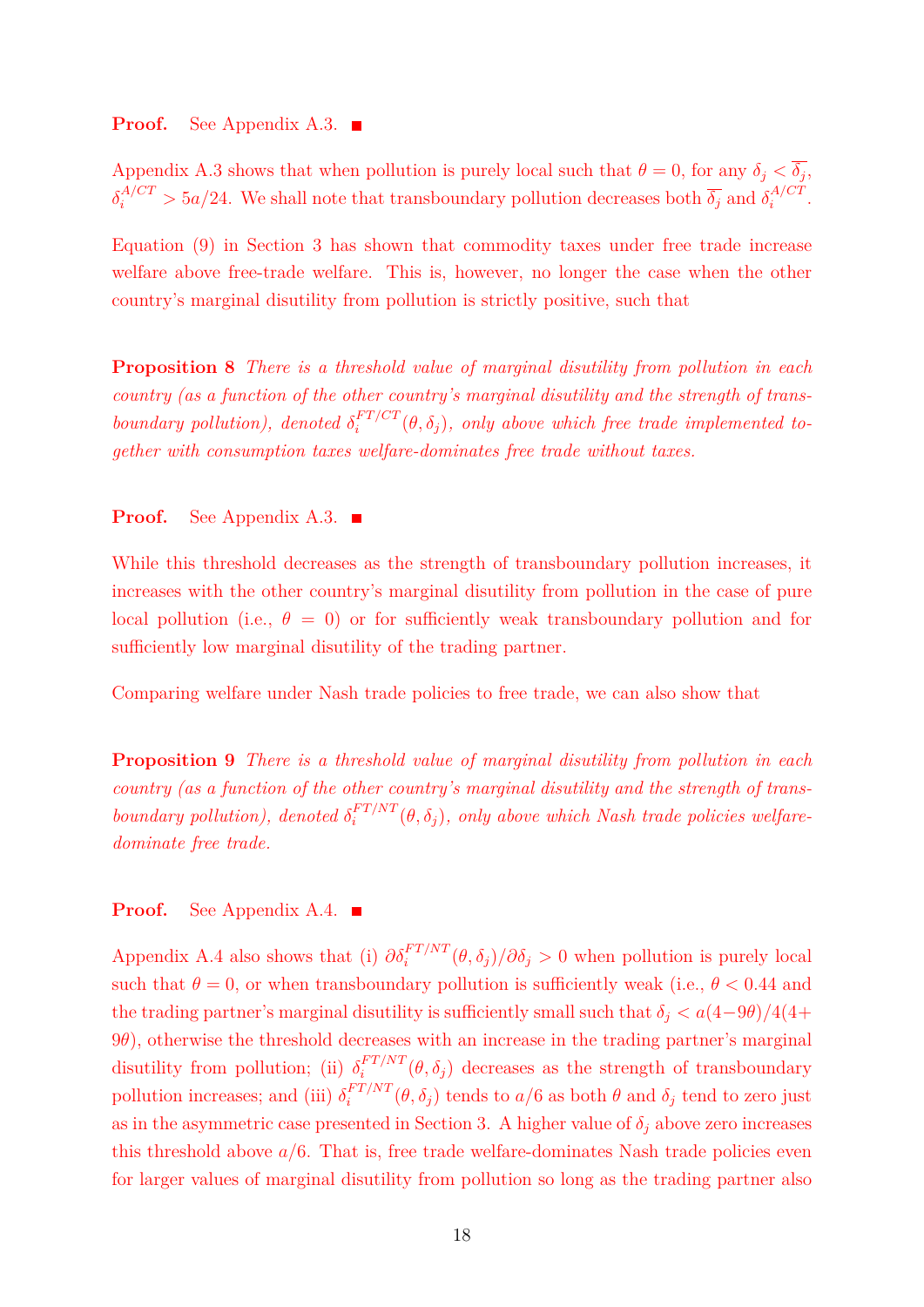### **Proof.** See Appendix A.3.

Appendix A.3 shows that when pollution is purely local such that  $\theta = 0$ , for any  $\delta_j < \overline{\delta_j}$ ,  $\delta_i^{A/CT} > 5a/24$ . We shall note that transboundary pollution decreases both  $\overline{\delta_j}$  and  $\delta_i^{A/CT}$ .

Equation (9) in Section 3 has shown that commodity taxes under free trade increase welfare above free-trade welfare. This is, however, no longer the case when the other country's marginal disutility from pollution is strictly positive, such that

**Proposition 8** *There is a threshold value of marginal disutility from pollution in each country (as a function of the other country's marginal disutility and the strength of transboundary pollution), denoted*  $\delta_i^{FT/CT}(\theta, \delta_j)$ , only above which free trade implemented to*gether with consumption taxes welfare-dominates free trade without taxes.*

**Proof.** See Appendix A.3. ■

While this threshold decreases as the strength of transboundary pollution increases, it increases with the other country's marginal disutility from pollution in the case of pure local pollution (i.e.,  $\theta = 0$ ) or for sufficiently weak transboundary pollution and for sufficiently low marginal disutility of the trading partner.

Comparing welfare under Nash trade policies to free trade, we can also show that

**Proposition 9** *There is a threshold value of marginal disutility from pollution in each country (as a function of the other country's marginal disutility and the strength of transboundary pollution), denoted*  $\delta_i^{FT/NT}(\theta, \delta_j)$ , only above which Nash trade policies welfare*dominate free trade.*

**Proof.** See Appendix A.4.

Appendix A.4 also shows that (i)  $\partial \delta_i^{FT/NT}(\theta, \delta_j)/\partial \delta_j > 0$  when pollution is purely local such that  $\theta = 0$ , or when transboundary pollution is sufficiently weak (i.e.,  $\theta < 0.44$  and the trading partner's marginal disutility is sufficiently small such that  $\delta_i < a(4-9\theta)/4(4+$ 9*◊*), otherwise the threshold decreases with an increase in the trading partner's marginal disutility from pollution; (ii)  $\delta_i^{FT/NT}(\theta, \delta_j)$  decreases as the strength of transboundary pollution increases; and (iii)  $\delta_i^{FT/NT}(\theta, \delta_j)$  tends to  $a/6$  as both  $\theta$  and  $\delta_j$  tend to zero just as in the asymmetric case presented in Section 3. A higher value of  $\delta_i$  above zero increases this threshold above  $a/6$ . That is, free trade welfare-dominates Nash trade policies even for larger values of marginal disutility from pollution so long as the trading partner also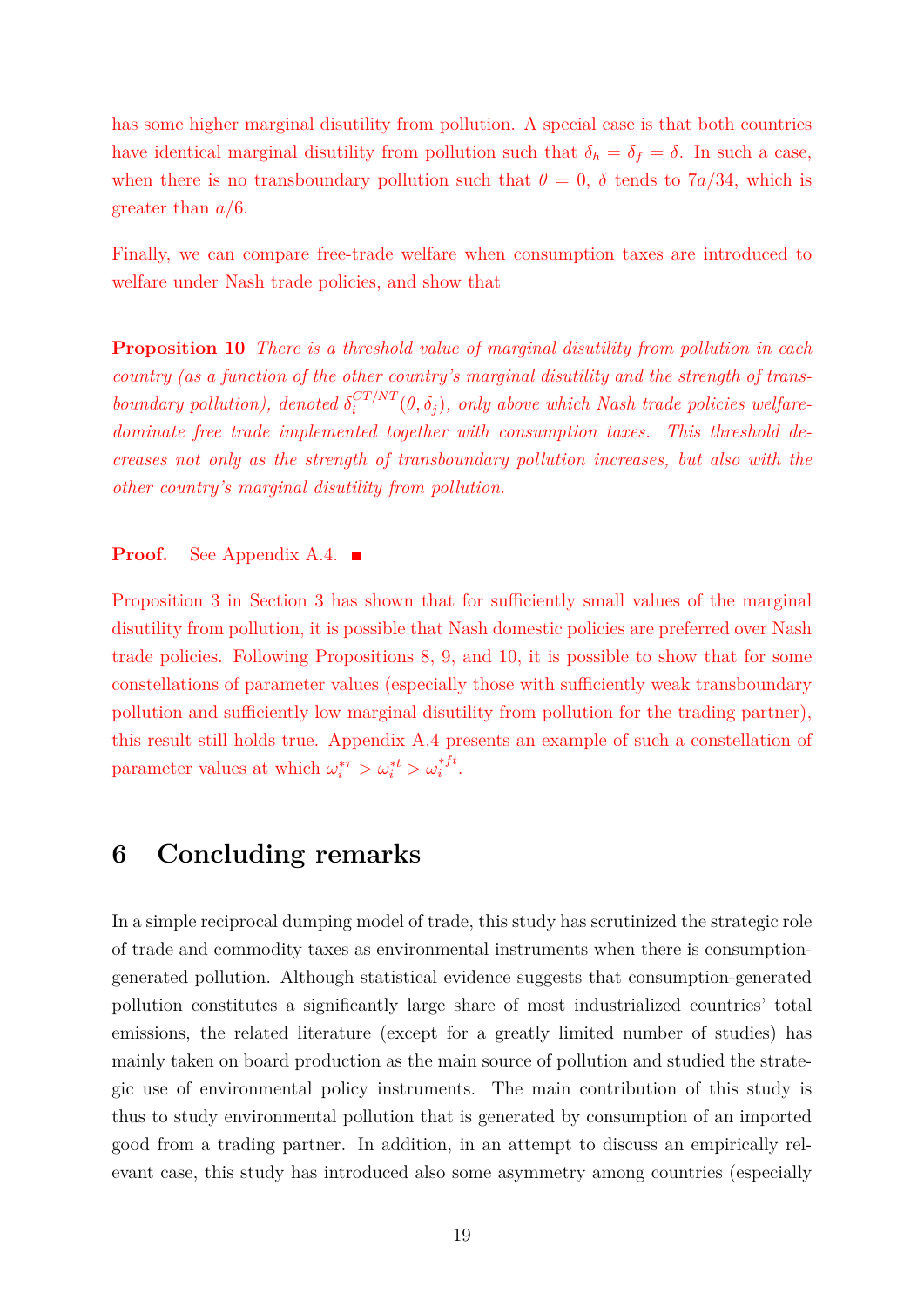has some higher marginal disutility from pollution. A special case is that both countries have identical marginal disutility from pollution such that  $\delta_h = \delta_f = \delta$ . In such a case, when there is no transboundary pollution such that  $\theta = 0$ ,  $\delta$  tends to 7*a*/34, which is greater than *a/*6.

Finally, we can compare free-trade welfare when consumption taxes are introduced to welfare under Nash trade policies, and show that

**Proposition 10** *There is a threshold value of marginal disutility from pollution in each country (as a function of the other country's marginal disutility and the strength of transboundary pollution), denoted*  $\delta_i^{CT/NT}(\theta, \delta_j)$ , only above which Nash trade policies welfare*dominate free trade implemented together with consumption taxes. This threshold decreases not only as the strength of transboundary pollution increases, but also with the other country's marginal disutility from pollution.*

### **Proof.** See Appendix A.4. ■

Proposition 3 in Section 3 has shown that for sufficiently small values of the marginal disutility from pollution, it is possible that Nash domestic policies are preferred over Nash trade policies. Following Propositions 8, 9, and 10, it is possible to show that for some constellations of parameter values (especially those with sufficiently weak transboundary pollution and sufficiently low marginal disutility from pollution for the trading partner), this result still holds true. Appendix A.4 presents an example of such a constellation of parameter values at which  $\omega_i^{* \tau} > \omega_i^{* t} > \omega_i^{* ft}$ .

## **6 Concluding remarks**

In a simple reciprocal dumping model of trade, this study has scrutinized the strategic role of trade and commodity taxes as environmental instruments when there is consumptiongenerated pollution. Although statistical evidence suggests that consumption-generated pollution constitutes a significantly large share of most industrialized countries' total emissions, the related literature (except for a greatly limited number of studies) has mainly taken on board production as the main source of pollution and studied the strategic use of environmental policy instruments. The main contribution of this study is thus to study environmental pollution that is generated by consumption of an imported good from a trading partner. In addition, in an attempt to discuss an empirically relevant case, this study has introduced also some asymmetry among countries (especially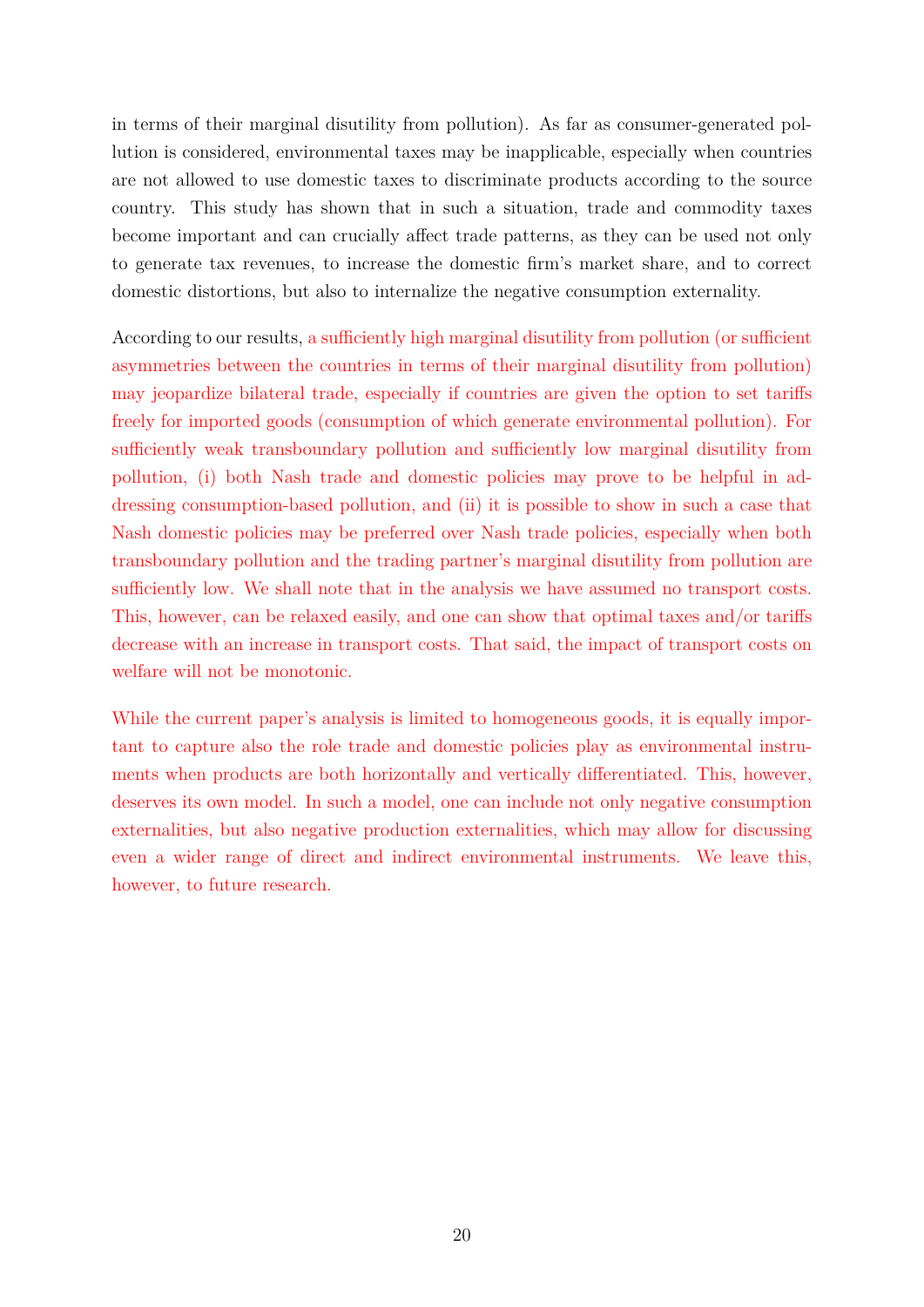in terms of their marginal disutility from pollution). As far as consumer-generated pollution is considered, environmental taxes may be inapplicable, especially when countries are not allowed to use domestic taxes to discriminate products according to the source country. This study has shown that in such a situation, trade and commodity taxes become important and can crucially affect trade patterns, as they can be used not only to generate tax revenues, to increase the domestic firm's market share, and to correct domestic distortions, but also to internalize the negative consumption externality.

According to our results, a sufficiently high marginal disutility from pollution (or sufficient asymmetries between the countries in terms of their marginal disutility from pollution) may jeopardize bilateral trade, especially if countries are given the option to set taris freely for imported goods (consumption of which generate environmental pollution). For sufficiently weak transboundary pollution and sufficiently low marginal disutility from pollution, (i) both Nash trade and domestic policies may prove to be helpful in addressing consumption-based pollution, and (ii) it is possible to show in such a case that Nash domestic policies may be preferred over Nash trade policies, especially when both transboundary pollution and the trading partner's marginal disutility from pollution are sufficiently low. We shall note that in the analysis we have assumed no transport costs. This, however, can be relaxed easily, and one can show that optimal taxes and/or taris decrease with an increase in transport costs. That said, the impact of transport costs on welfare will not be monotonic.

While the current paper's analysis is limited to homogeneous goods, it is equally important to capture also the role trade and domestic policies play as environmental instruments when products are both horizontally and vertically differentiated. This, however, deserves its own model. In such a model, one can include not only negative consumption externalities, but also negative production externalities, which may allow for discussing even a wider range of direct and indirect environmental instruments. We leave this, however, to future research.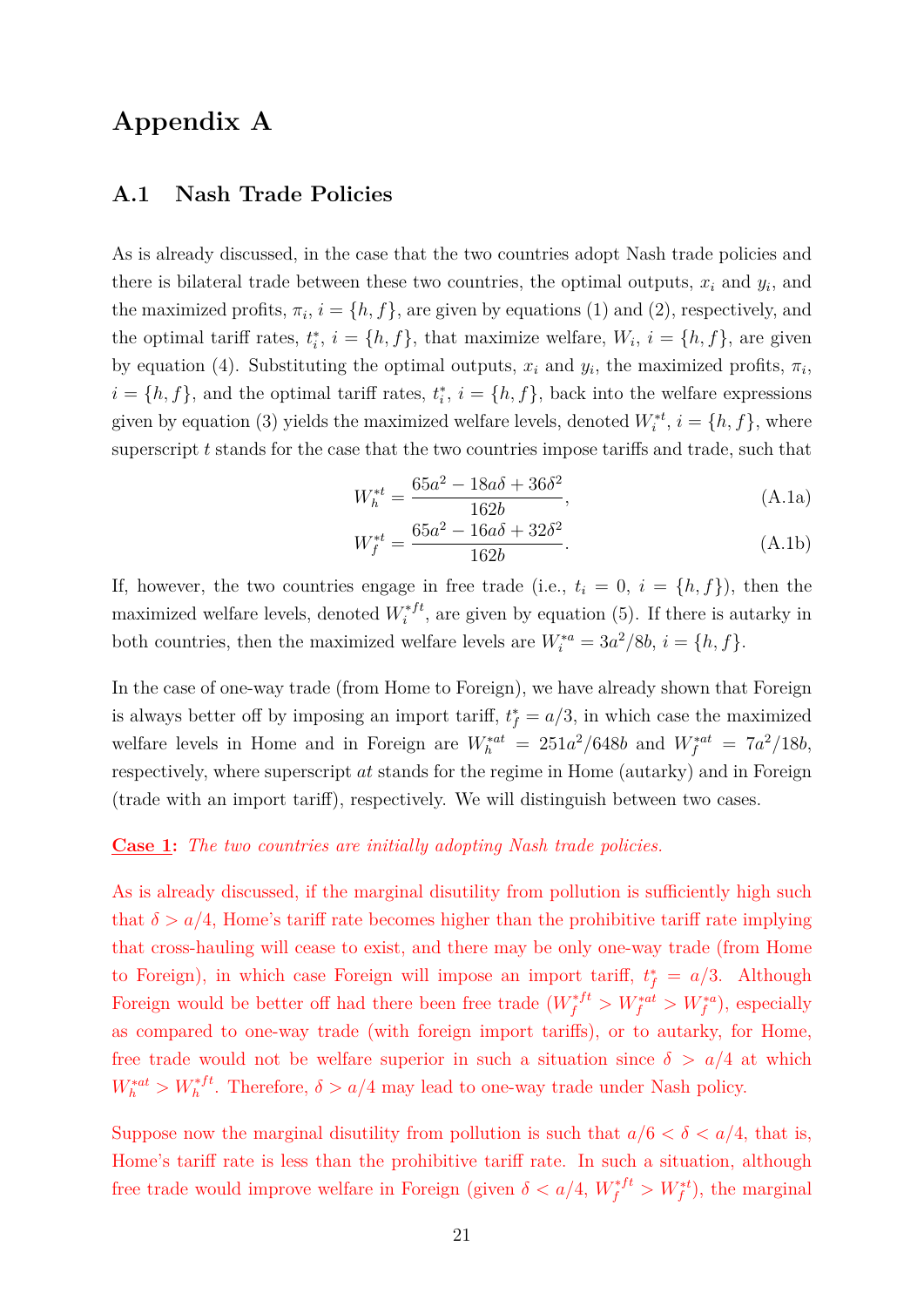# **Appendix A**

### **A.1 Nash Trade Policies**

As is already discussed, in the case that the two countries adopt Nash trade policies and there is bilateral trade between these two countries, the optimal outputs,  $x_i$  and  $y_i$ , and the maximized profits,  $\pi_i$ ,  $i = \{h, f\}$ , are given by equations (1) and (2), respectively, and the optimal tariff rates,  $t_i^*$ ,  $i = \{h, f\}$ , that maximize welfare,  $W_i$ ,  $i = \{h, f\}$ , are given by equation (4). Substituting the optimal outputs,  $x_i$  and  $y_i$ , the maximized profits,  $\pi_i$ ,  $i = \{h, f\}$ , and the optimal tariff rates,  $t_i^*$ ,  $i = \{h, f\}$ , back into the welfare expressions given by equation (3) yields the maximized welfare levels, denoted  $W_i^{*t}$ ,  $i = \{h, f\}$ , where superscript  $t$  stands for the case that the two countries impose tariffs and trade, such that

$$
W_h^{*t} = \frac{65a^2 - 18a\delta + 36\delta^2}{162b},
$$
\n(A.1a)

$$
W_f^{*t} = \frac{65a^2 - 16a\delta + 32\delta^2}{162b}.
$$
 (A.1b)

If, however, the two countries engage in free trade (i.e.,  $t_i = 0$ ,  $i = \{h, f\}$ ), then the maximized welfare levels, denoted  $W_i^{*ft}$ , are given by equation (5). If there is autarky in both countries, then the maximized welfare levels are  $W_i^{*a} = 3a^2/8b$ ,  $i = \{h, f\}$ .

In the case of one-way trade (from Home to Foreign), we have already shown that Foreign is always better off by imposing an import tariff,  $t_f^* = a/3$ , in which case the maximized welfare levels in Home and in Foreign are  $W_h^{*at} = 251a^2/648b$  and  $W_f^{*at} = 7a^2/18b$ , respectively, where superscript *at* stands for the regime in Home (autarky) and in Foreign (trade with an import tariff), respectively. We will distinguish between two cases.

### **Case 1:** *The two countries are initially adopting Nash trade policies.*

As is already discussed, if the marginal disutility from pollution is sufficiently high such that  $\delta > a/4$ , Home's tariff rate becomes higher than the prohibitive tariff rate implying that cross-hauling will cease to exist, and there may be only one-way trade (from Home to Foreign), in which case Foreign will impose an import tariff,  $t_f^* = a/3$ . Although Foreign would be better off had there been free trade  $(W_f^{*ft} > W_f^{*at} > W_f^{*a})$ , especially as compared to one-way trade (with foreign import tariffs), or to autarky, for Home, free trade would not be welfare superior in such a situation since  $\delta > a/4$  at which  $W_h^{*at} > W_h^{*ft}$ . Therefore,  $\delta > a/4$  may lead to one-way trade under Nash policy.

Suppose now the marginal disutility from pollution is such that  $a/6 < \delta < a/4$ , that is, Home's tariff rate is less than the prohibitive tariff rate. In such a situation, although free trade would improve welfare in Foreign (given  $\delta < a/4$ ,  $W_f^{*ft} > W_f^{*t}$ ), the marginal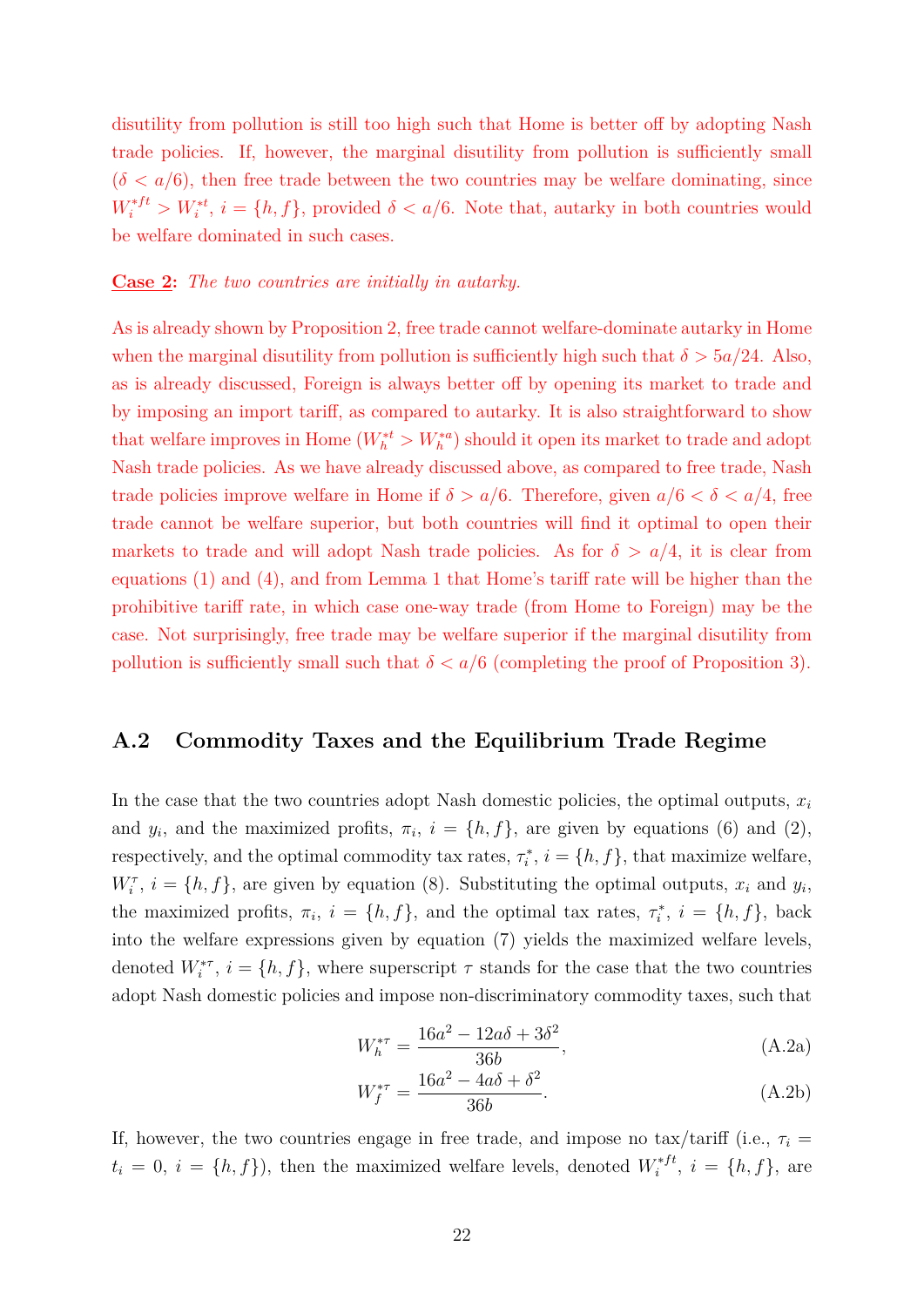disutility from pollution is still too high such that Home is better off by adopting Nash trade policies. If, however, the marginal disutility from pollution is sufficiently small  $(\delta < a/6)$ , then free trade between the two countries may be welfare dominating, since  $W_i^{*ft} > W_i^{*t}$ ,  $i = \{h, f\}$ , provided  $\delta < a/6$ . Note that, autarky in both countries would be welfare dominated in such cases.

#### **Case 2:** *The two countries are initially in autarky.*

As is already shown by Proposition 2, free trade cannot welfare-dominate autarky in Home when the marginal disutility from pollution is sufficiently high such that  $\delta > 5a/24$ . Also, as is already discussed, Foreign is always better off by opening its market to trade and by imposing an import tariff, as compared to autarky. It is also straightforward to show that welfare improves in Home  $(W_h^{*t} > W_h^{*a})$  should it open its market to trade and adopt Nash trade policies. As we have already discussed above, as compared to free trade, Nash trade policies improve welfare in Home if  $\delta > a/6$ . Therefore, given  $a/6 < \delta < a/4$ , free trade cannot be welfare superior, but both countries will find it optimal to open their markets to trade and will adopt Nash trade policies. As for  $\delta > a/4$ , it is clear from equations  $(1)$  and  $(4)$ , and from Lemma 1 that Home's tariff rate will be higher than the prohibitive tariff rate, in which case one-way trade (from Home to Foreign) may be the case. Not surprisingly, free trade may be welfare superior if the marginal disutility from pollution is sufficiently small such that  $\delta < a/6$  (completing the proof of Proposition 3).

### **A.2 Commodity Taxes and the Equilibrium Trade Regime**

In the case that the two countries adopt Nash domestic policies, the optimal outputs,  $x_i$ and  $y_i$ , and the maximized profits,  $\pi_i$ ,  $i = \{h, f\}$ , are given by equations (6) and (2), respectively, and the optimal commodity tax rates,  $\tau_i^*$ ,  $i = \{h, f\}$ , that maximize welfare,  $W_i^{\tau}$ ,  $i = \{h, f\}$ , are given by equation (8). Substituting the optimal outputs,  $x_i$  and  $y_i$ , the maximized profits,  $\pi_i$ ,  $i = \{h, f\}$ , and the optimal tax rates,  $\tau_i^*$ ,  $i = \{h, f\}$ , back into the welfare expressions given by equation (7) yields the maximized welfare levels, denoted  $W_i^{*\tau}$ ,  $i = \{h, f\}$ , where superscript  $\tau$  stands for the case that the two countries adopt Nash domestic policies and impose non-discriminatory commodity taxes, such that

$$
W_h^{*\tau} = \frac{16a^2 - 12a\delta + 3\delta^2}{36b},
$$
 (A.2a)

$$
W_f^{*\tau} = \frac{16a^2 - 4a\delta + \delta^2}{36b}.
$$
 (A.2b)

If, however, the two countries engage in free trade, and impose no tax/tariff (i.e.,  $\tau_i$  =  $t_i = 0, i = \{h, f\}$ , then the maximized welfare levels, denoted  $W_i^{*ft}$ ,  $i = \{h, f\}$ , are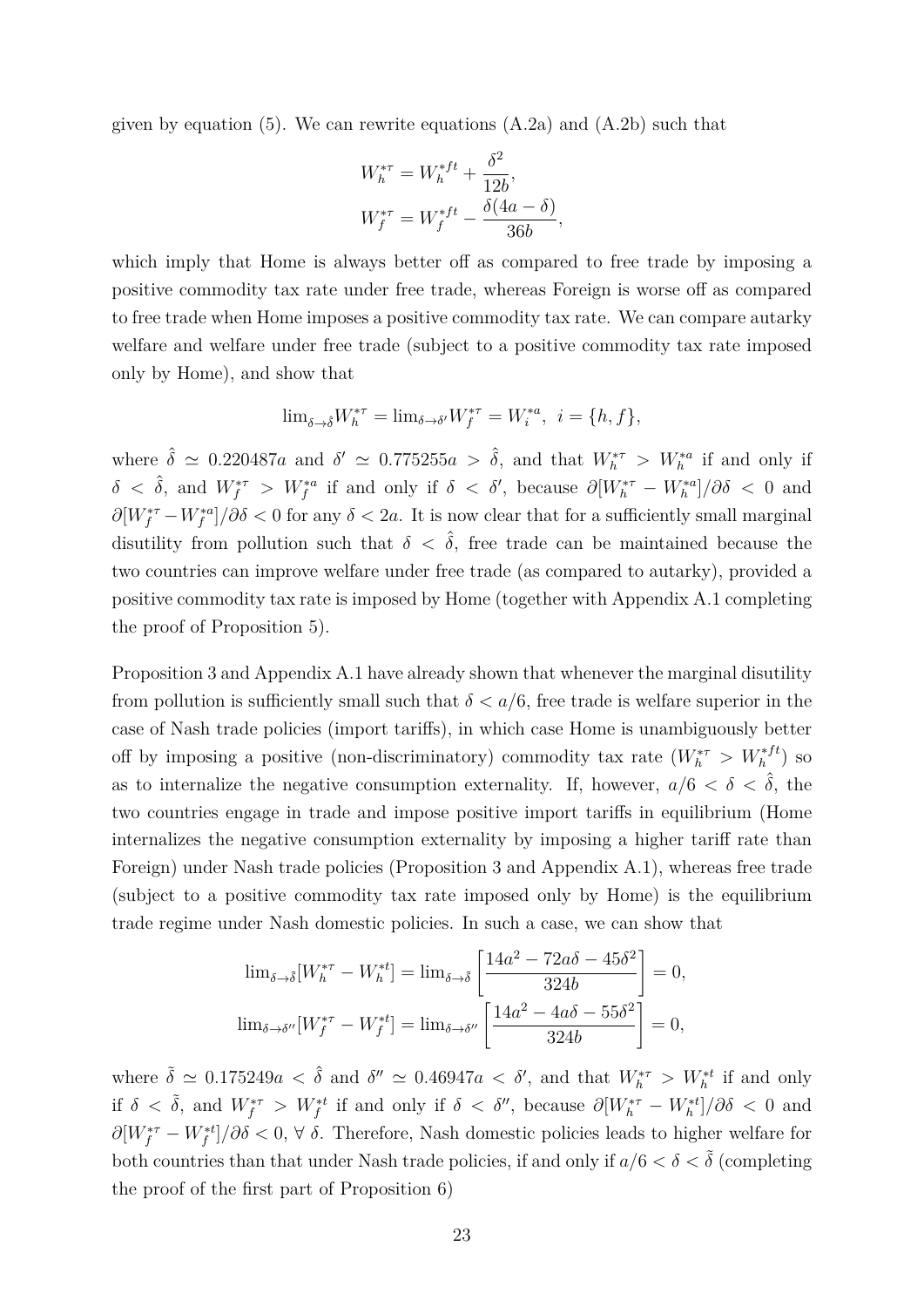given by equation (5). We can rewrite equations  $(A.2a)$  and  $(A.2b)$  such that

$$
W_h^{*\tau} = W_h^{*ft} + \frac{\delta^2}{12b},
$$
  

$$
W_f^{*\tau} = W_f^{*ft} - \frac{\delta(4a - \delta)}{36b},
$$

which imply that Home is always better off as compared to free trade by imposing a positive commodity tax rate under free trade, whereas Foreign is worse off as compared to free trade when Home imposes a positive commodity tax rate. We can compare autarky welfare and welfare under free trade (subject to a positive commodity tax rate imposed only by Home), and show that

$$
\lim_{\delta \to \delta} W_h^{*\tau} = \lim_{\delta \to \delta'} W_f^{*\tau} = W_i^{*\alpha}, \ \ i = \{h, f\},\
$$

where  $\hat{\delta} \simeq 0.220487a$  and  $\delta' \simeq 0.775255a > \hat{\delta}$ , and that  $W_h^{*\tau} > W_h^{*a}$  if and only if  $\delta \langle \hat{\delta}, \text{ and } W_f^{*\tau} \rangle W_f^{*a}$  if and only if  $\delta \langle \delta', \text{ because } \partial [W_h^{*\tau} - W_h^{*a}] / \partial \delta \langle 0 \text{ and } \partial [W_h^{*\tau}] \rangle$  $\partial [W_f^{*\tau} - W_f^{*a}] / \partial \delta < 0$  for any  $\delta < 2a$ . It is now clear that for a sufficiently small marginal disutility from pollution such that  $\delta < \hat{\delta}$ , free trade can be maintained because the two countries can improve welfare under free trade (as compared to autarky), provided a positive commodity tax rate is imposed by Home (together with Appendix A.1 completing the proof of Proposition 5).

Proposition 3 and Appendix A.1 have already shown that whenever the marginal disutility from pollution is sufficiently small such that  $\delta < a/6$ , free trade is welfare superior in the case of Nash trade policies (import tariffs), in which case Home is unambiguously better off by imposing a positive (non-discriminatory) commodity tax rate  $(W_h^{* \tau} > W_h^{*ft})$  so as to internalize the negative consumption externality. If, however,  $a/6 < \delta < \hat{\delta}$ , the two countries engage in trade and impose positive import tariffs in equilibrium (Home internalizes the negative consumption externality by imposing a higher tariff rate than Foreign) under Nash trade policies (Proposition 3 and Appendix A.1), whereas free trade (subject to a positive commodity tax rate imposed only by Home) is the equilibrium trade regime under Nash domestic policies. In such a case, we can show that

$$
\lim_{\delta \to \tilde{\delta}} [W_h^{*\tau} - W_h^{*t}] = \lim_{\delta \to \tilde{\delta}} \left[ \frac{14a^2 - 72a\delta - 45\delta^2}{324b} \right] = 0,
$$
  

$$
\lim_{\delta \to \delta''} [W_f^{*\tau} - W_f^{*t}] = \lim_{\delta \to \delta''} \left[ \frac{14a^2 - 4a\delta - 55\delta^2}{324b} \right] = 0,
$$

where  $\tilde{\delta} \simeq 0.175249a < \hat{\delta}$  and  $\delta'' \simeq 0.46947a < \delta'$ , and that  $W_h^{*\tau} > W_h^{*t}$  if and only if  $\delta < \tilde{\delta}$ , and  $W_f^{*\tau} > W_f^{*t}$  if and only if  $\delta < \delta''$ , because  $\partial [W_h^{*\tau} - W_h^{*t}]/\partial \delta < 0$  and  $\partial [W_f^{*\tau} - W_f^{*t}]/\partial \delta < 0$ ,  $\forall \delta$ . Therefore, Nash domestic policies leads to higher welfare for both countries than that under Nash trade policies, if and only if  $a/6 < \delta < \tilde{\delta}$  (completing the proof of the first part of Proposition 6)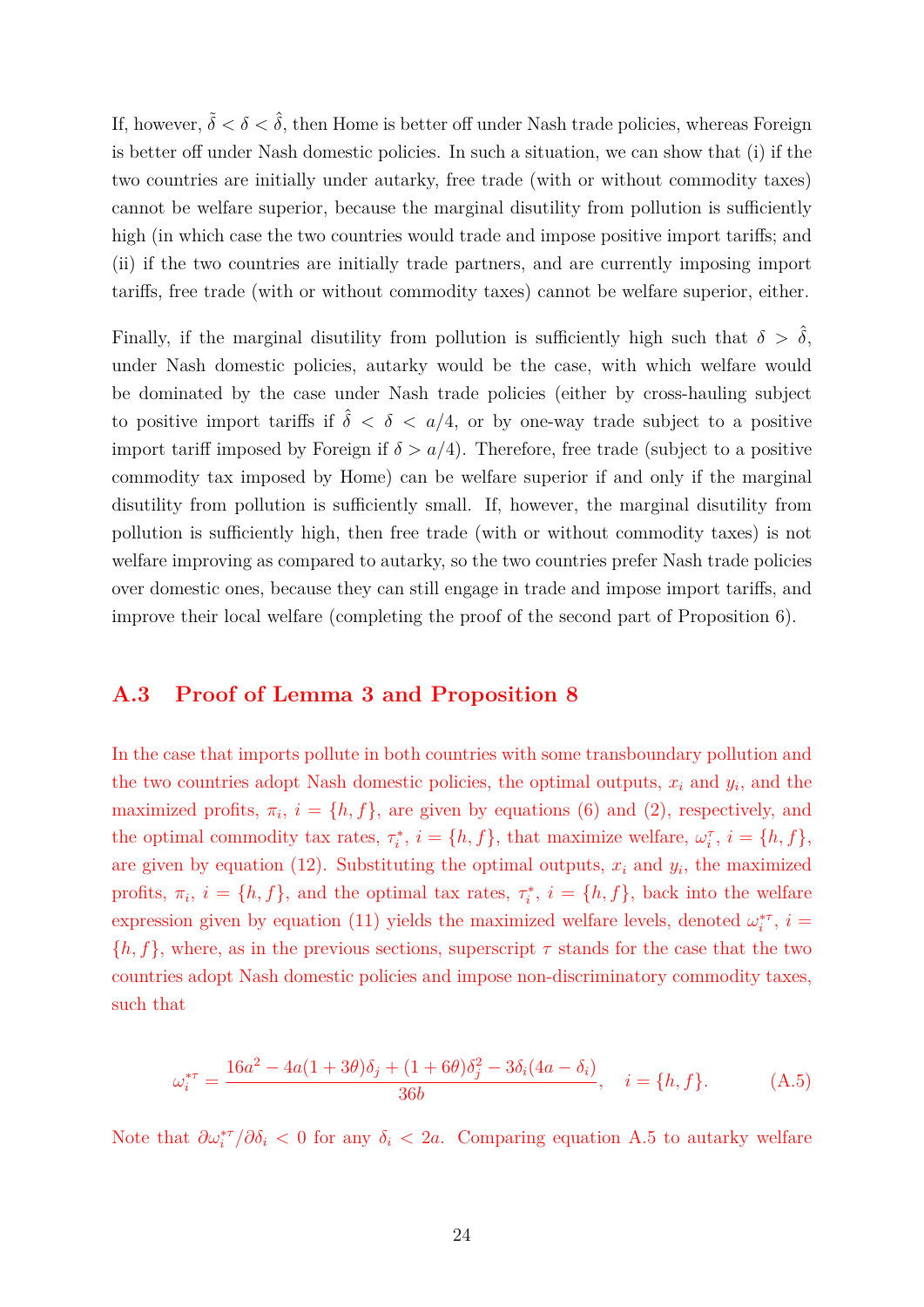If, however,  $\tilde{\delta} < \delta < \hat{\delta}$ , then Home is better off under Nash trade policies, whereas Foreign is better off under Nash domestic policies. In such a situation, we can show that  $(i)$  if the two countries are initially under autarky, free trade (with or without commodity taxes) cannot be welfare superior, because the marginal disutility from pollution is sufficiently high (in which case the two countries would trade and impose positive import tariffs; and (ii) if the two countries are initially trade partners, and are currently imposing import tariffs, free trade (with or without commodity taxes) cannot be welfare superior, either.

Finally, if the marginal disutility from pollution is sufficiently high such that  $\delta > \hat{\delta}$ , under Nash domestic policies, autarky would be the case, with which welfare would be dominated by the case under Nash trade policies (either by cross-hauling subject to positive import tariffs if  $\hat{\delta} < \delta < a/4$ , or by one-way trade subject to a positive import tariff imposed by Foreign if  $\delta > a/4$ ). Therefore, free trade (subject to a positive commodity tax imposed by Home) can be welfare superior if and only if the marginal disutility from pollution is sufficiently small. If, however, the marginal disutility from pollution is sufficiently high, then free trade (with or without commodity taxes) is not welfare improving as compared to autarky, so the two countries prefer Nash trade policies over domestic ones, because they can still engage in trade and impose import tariffs, and improve their local welfare (completing the proof of the second part of Proposition 6).

### **A.3 Proof of Lemma 3 and Proposition 8**

In the case that imports pollute in both countries with some transboundary pollution and the two countries adopt Nash domestic policies, the optimal outputs,  $x_i$  and  $y_i$ , and the maximized profits,  $\pi_i$ ,  $i = \{h, f\}$ , are given by equations (6) and (2), respectively, and the optimal commodity tax rates,  $\tau_i^*$ ,  $i = \{h, f\}$ , that maximize welfare,  $\omega_i^{\tau}$ ,  $i = \{h, f\}$ , are given by equation (12). Substituting the optimal outputs,  $x_i$  and  $y_i$ , the maximized profits,  $\pi_i$ ,  $i = \{h, f\}$ , and the optimal tax rates,  $\tau_i^*$ ,  $i = \{h, f\}$ , back into the welfare expression given by equation (11) yields the maximized welfare levels, denoted  $\omega_i^{*\tau}$ ,  $i =$  $\{h, f\}$ , where, as in the previous sections, superscript  $\tau$  stands for the case that the two countries adopt Nash domestic policies and impose non-discriminatory commodity taxes, such that

$$
\omega_i^{*\tau} = \frac{16a^2 - 4a(1+3\theta)\delta_j + (1+6\theta)\delta_j^2 - 3\delta_i(4a - \delta_i)}{36b}, \quad i = \{h, f\}.
$$
 (A.5)

Note that  $\partial \omega_i^{*\tau}/\partial \delta_i < 0$  for any  $\delta_i < 2a$ . Comparing equation A.5 to autarky welfare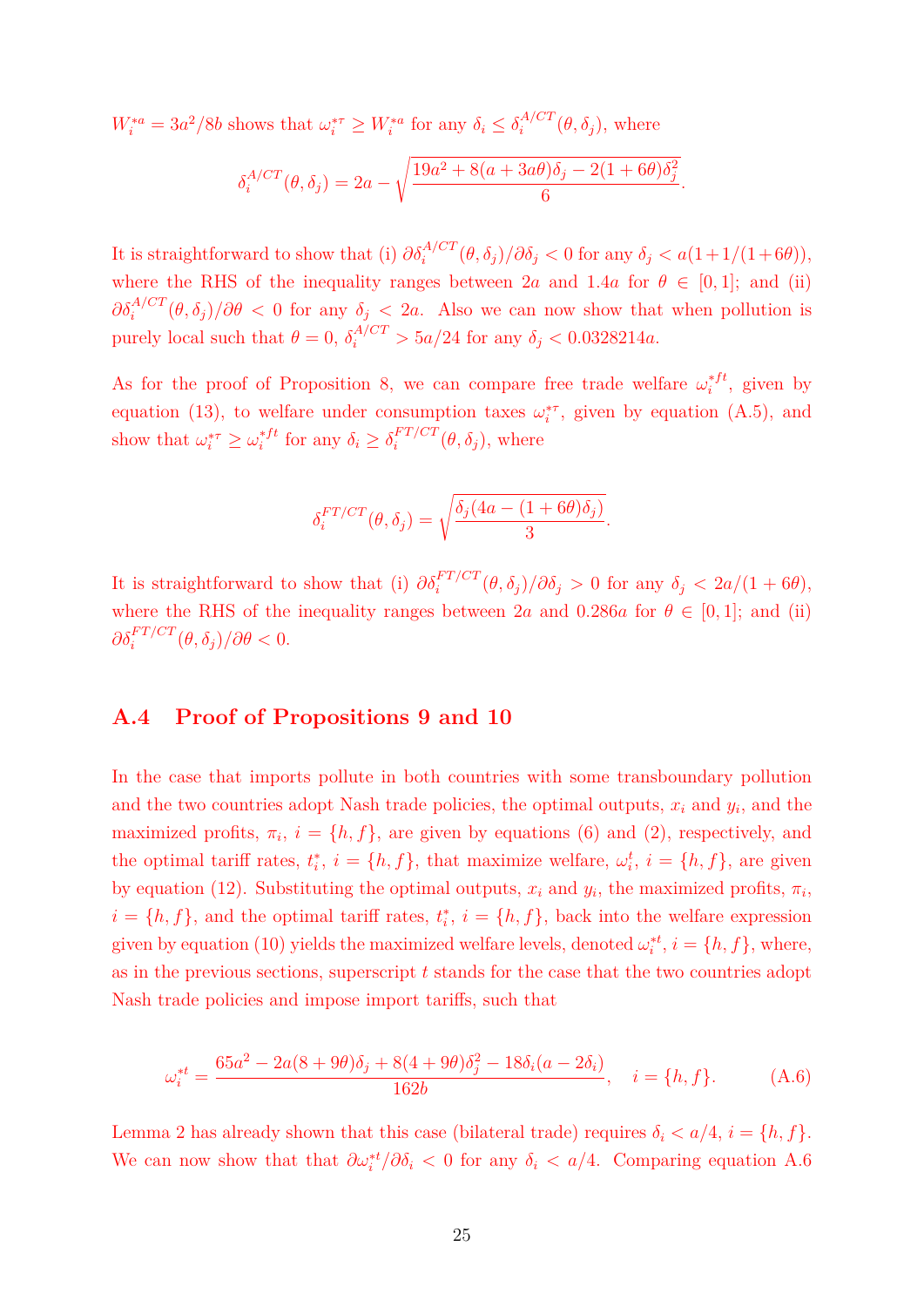$W_i^{*a} = 3a^2/8b$  shows that  $\omega_i^{*\tau} \ge W_i^{*a}$  for any  $\delta_i \le \delta_i^{A/CT}(\theta, \delta_j)$ , where

$$
\delta_i^{A/CT}(\theta,\delta_j) = 2a - \sqrt{\frac{19a^2 + 8(a + 3a\theta)\delta_j - 2(1 + 6\theta)\delta_j^2}{6}}.
$$

It is straightforward to show that (i)  $\partial \delta_i^{A/CT}(\theta, \delta_j)/\partial \delta_j < 0$  for any  $\delta_j < a(1+1/(1+6\theta)),$ where the RHS of the inequality ranges between 2*a* and 1.4*a* for  $\theta \in [0,1]$ ; and (ii)  $\partial \delta_i^{A/CT}(\theta, \delta_j)/\partial \theta < 0$  for any  $\delta_j < 2a$ . Also we can now show that when pollution is purely local such that  $\theta = 0$ ,  $\delta_i^{A/CT} > 5a/24$  for any  $\delta_j < 0.0328214a$ .

As for the proof of Proposition 8, we can compare free trade welfare  $\omega_i^{*ft}$ , given by equation (13), to welfare under consumption taxes  $\omega_i^{*\tau}$ , given by equation (A.5), and show that  $\omega_i^{*r} \geq \omega_i^{*ft}$  for any  $\delta_i \geq \delta_i^{FT/CT}(\theta, \delta_j)$ , where

$$
\delta_i^{FT/CT}(\theta, \delta_j) = \sqrt{\frac{\delta_j(4a - (1 + 6\theta)\delta_j)}{3}}.
$$

It is straightforward to show that (i)  $\partial \delta_i^{FT/CT}(\theta, \delta_j)/\partial \delta_j > 0$  for any  $\delta_j < 2a/(1+6\theta)$ , where the RHS of the inequality ranges between 2*a* and 0.286*a* for  $\theta \in [0, 1]$ ; and (ii)  $\partial \delta_i^{FT/CT}(\theta, \delta_j)/\partial \theta < 0.$ 

### **A.4 Proof of Propositions 9 and 10**

In the case that imports pollute in both countries with some transboundary pollution and the two countries adopt Nash trade policies, the optimal outputs,  $x_i$  and  $y_i$ , and the maximized profits,  $\pi_i$ ,  $i = \{h, f\}$ , are given by equations (6) and (2), respectively, and the optimal tariff rates,  $t_i^*$ ,  $i = \{h, f\}$ , that maximize welfare,  $\omega_i^t$ ,  $i = \{h, f\}$ , are given by equation (12). Substituting the optimal outputs,  $x_i$  and  $y_i$ , the maximized profits,  $\pi_i$ ,  $i = \{h, f\}$ , and the optimal tariff rates,  $t_i^*$ ,  $i = \{h, f\}$ , back into the welfare expression given by equation (10) yields the maximized welfare levels, denoted  $\omega_i^{*t}$ ,  $i = \{h, f\}$ , where, as in the previous sections, superscript *t* stands for the case that the two countries adopt Nash trade policies and impose import tariffs, such that

$$
\omega_i^{*t} = \frac{65a^2 - 2a(8 + 9\theta)\delta_j + 8(4 + 9\theta)\delta_j^2 - 18\delta_i(a - 2\delta_i)}{162b}, \quad i = \{h, f\}.
$$
 (A.6)

Lemma 2 has already shown that this case (bilateral trade) requires  $\delta_i < a/4$ ,  $i = \{h, f\}$ . We can now show that that  $\partial \omega_i^{*t} / \partial \delta_i < 0$  for any  $\delta_i < a/4$ . Comparing equation A.6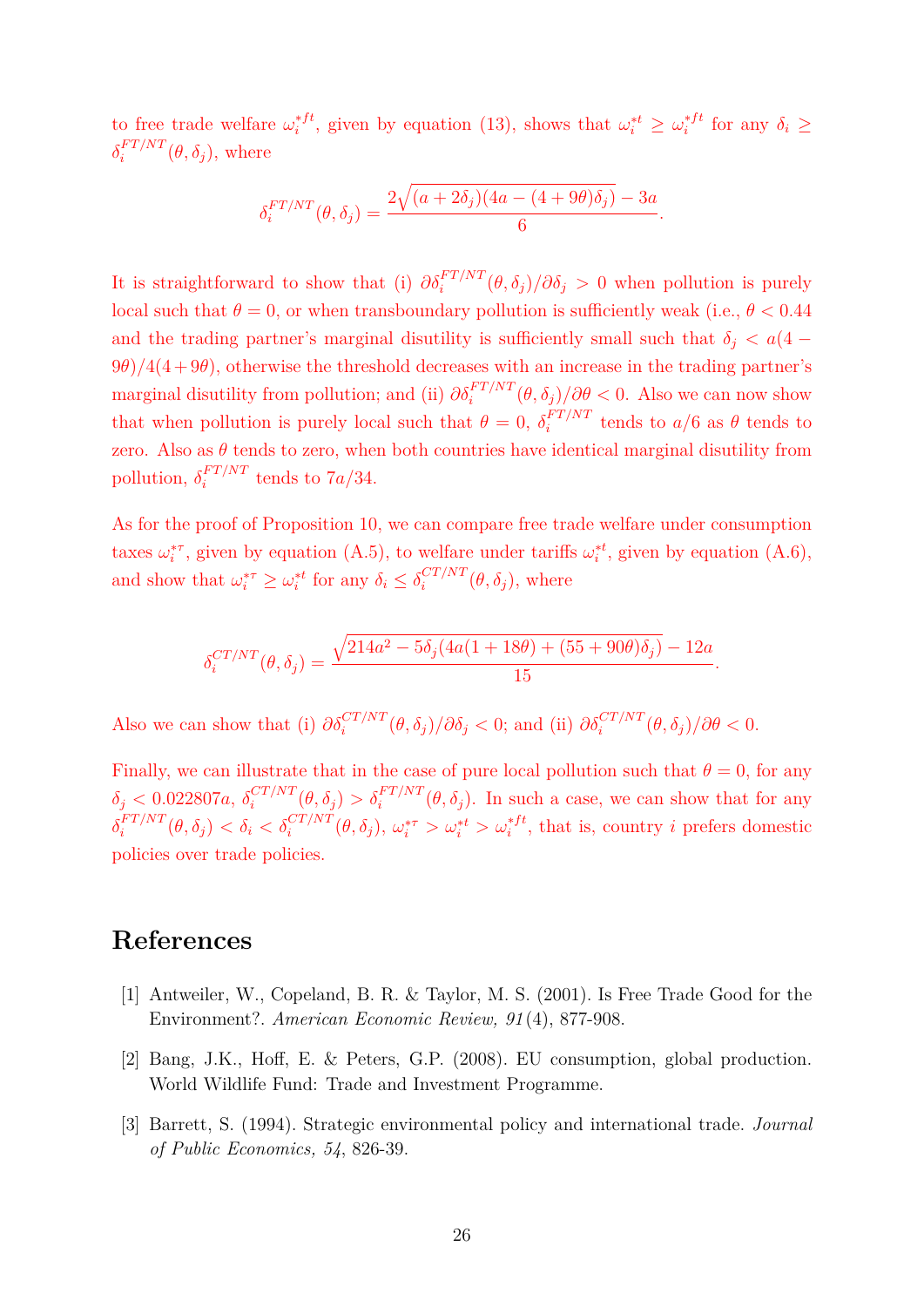to free trade welfare  $\omega_i^{*f}$ , given by equation (13), shows that  $\omega_i^{*t} \geq \omega_i^{*f}$  for any  $\delta_i \geq$  $\delta_i^{FT/NT}(\theta, \delta_j)$ , where

$$
\delta_i^{FT/NT}(\theta, \delta_j) = \frac{2\sqrt{(a+2\delta_j)(4a-(4+9\theta)\delta_j)}-3a}{6}.
$$

It is straightforward to show that (i)  $\partial \delta_i^{FT/NT}(\theta, \delta_j)/\partial \delta_j > 0$  when pollution is purely local such that  $\theta = 0$ , or when transboundary pollution is sufficiently weak (i.e.,  $\theta < 0.44$ ) and the trading partner's marginal disutility is sufficiently small such that  $\delta_i < a(4 - )$  $9\theta$ / $4(4+9\theta)$ , otherwise the threshold decreases with an increase in the trading partner's marginal disutility from pollution; and (ii)  $\partial \delta_i^{FT/NT}(\theta, \delta_j)/\partial \theta < 0$ . Also we can now show that when pollution is purely local such that  $\theta = 0$ ,  $\delta_i^{FT/NT}$  tends to  $a/6$  as  $\theta$  tends to zero. Also as  $\theta$  tends to zero, when both countries have identical marginal disutility from pollution,  $\delta_i^{FT/NT}$  tends to  $7a/34$ .

As for the proof of Proposition 10, we can compare free trade welfare under consumption taxes  $\omega_i^{*\tau}$ , given by equation (A.5), to welfare under tariffs  $\omega_i^{*t}$ , given by equation (A.6), and show that  $\omega_i^{*\tau} \geq \omega_i^{*t}$  for any  $\delta_i \leq \delta_i^{CT/NT}(\theta, \delta_j)$ , where

$$
\delta_i^{CT/NT}(\theta, \delta_j) = \frac{\sqrt{214a^2 - 5\delta_j(4a(1 + 18\theta) + (55 + 90\theta)\delta_j)} - 12a}{15}.
$$

Also we can show that (i)  $\partial \delta_i^{CT/NT}(\theta, \delta_j)/\partial \delta_j < 0$ ; and (ii)  $\partial \delta_i^{CT/NT}(\theta, \delta_j)/\partial \theta < 0$ .

Finally, we can illustrate that in the case of pure local pollution such that  $\theta = 0$ , for any  $\delta_j$  < 0.022807a,  $\delta_i^{CT/NT}(\theta, \delta_j) > \delta_i^{FT/NT}(\theta, \delta_j)$ . In such a case, we can show that for any  $\delta_i^{FT/NT}(\theta, \delta_j) < \delta_i < \delta_i^{CT/NT}(\theta, \delta_j)$ ,  $\omega_i^{* \tau} > \omega_i^{* t} > \omega_i^{* ft}$ , that is, country *i* prefers domestic policies over trade policies.

### **References**

- [1] Antweiler, W., Copeland, B. R. & Taylor, M. S. (2001). Is Free Trade Good for the Environment?. *American Economic Review, 91* (4), 877-908.
- [2] Bang, J.K., Hoff, E. & Peters, G.P. (2008). EU consumption, global production. World Wildlife Fund: Trade and Investment Programme.
- [3] Barrett, S. (1994). Strategic environmental policy and international trade. *Journal of Public Economics, 54*, 826-39.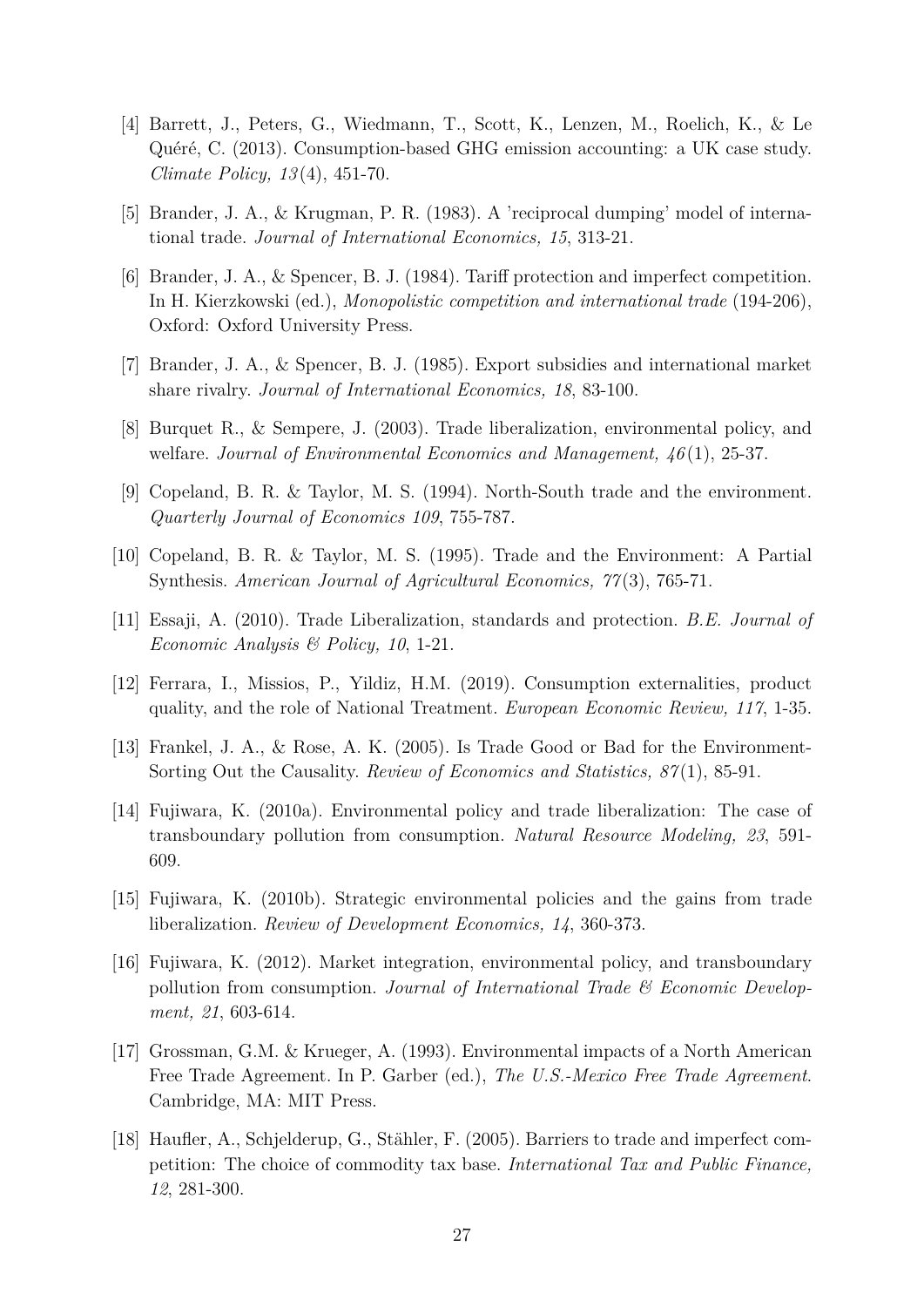- [4] Barrett, J., Peters, G., Wiedmann, T., Scott, K., Lenzen, M., Roelich, K., & Le Quéré, C. (2013). Consumption-based GHG emission accounting: a UK case study. *Climate Policy, 13* (4), 451-70.
- [5] Brander, J. A., & Krugman, P. R. (1983). A 'reciprocal dumping' model of international trade. *Journal of International Economics, 15*, 313-21.
- [6] Brander, J. A.,  $\&$  Spencer, B. J. (1984). Tariff protection and imperfect competition. In H. Kierzkowski (ed.), *Monopolistic competition and international trade* (194-206), Oxford: Oxford University Press.
- [7] Brander, J. A., & Spencer, B. J. (1985). Export subsidies and international market share rivalry. *Journal of International Economics, 18*, 83-100.
- [8] Burquet R., & Sempere, J. (2003). Trade liberalization, environmental policy, and welfare. *Journal of Environmental Economics and Management, 46* (1), 25-37.
- [9] Copeland, B. R. & Taylor, M. S. (1994). North-South trade and the environment. *Quarterly Journal of Economics 109*, 755-787.
- [10] Copeland, B. R. & Taylor, M. S. (1995). Trade and the Environment: A Partial Synthesis. *American Journal of Agricultural Economics, 77* (3), 765-71.
- [11] Essaji, A. (2010). Trade Liberalization, standards and protection. *B.E. Journal of Economic Analysis & Policy, 10*, 1-21.
- [12] Ferrara, I., Missios, P., Yildiz, H.M. (2019). Consumption externalities, product quality, and the role of National Treatment. *European Economic Review, 117*, 1-35.
- [13] Frankel, J. A., & Rose, A. K. (2005). Is Trade Good or Bad for the Environment-Sorting Out the Causality. *Review of Economics and Statistics, 87* (1), 85-91.
- [14] Fujiwara, K. (2010a). Environmental policy and trade liberalization: The case of transboundary pollution from consumption. *Natural Resource Modeling, 23*, 591- 609.
- [15] Fujiwara, K. (2010b). Strategic environmental policies and the gains from trade liberalization. *Review of Development Economics, 14*, 360-373.
- [16] Fujiwara, K. (2012). Market integration, environmental policy, and transboundary pollution from consumption. *Journal of International Trade & Economic Development, 21*, 603-614.
- [17] Grossman, G.M. & Krueger, A. (1993). Environmental impacts of a North American Free Trade Agreement. In P. Garber (ed.), *The U.S.-Mexico Free Trade Agreement*. Cambridge, MA: MIT Press.
- [18] Haufler, A., Schjelderup, G., Stähler, F. (2005). Barriers to trade and imperfect competition: The choice of commodity tax base. *International Tax and Public Finance, 12*, 281-300.